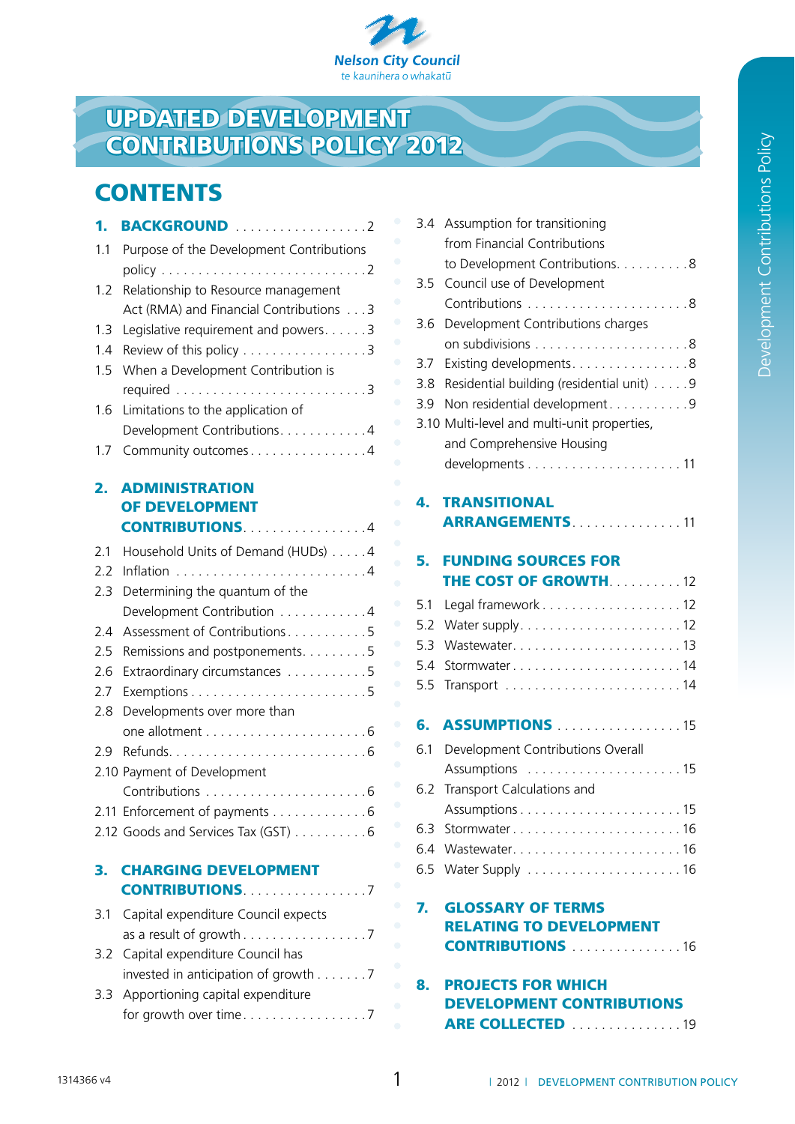

# Updated DEVELOPMENT **CONTRIBUTIONS POLICY 2012**

# **CONTENTS**

| 1.   |                                          |
|------|------------------------------------------|
| 1.1  | Purpose of the Development Contributions |
|      |                                          |
| 1.2  | Relationship to Resource management      |
|      | Act (RMA) and Financial Contributions 3  |
| 1.3  | Legislative requirement and powers. 3    |
| 1.4  | Review of this policy 3                  |
| 1.5  | When a Development Contribution is       |
|      |                                          |
| 1.6  | Limitations to the application of        |
|      | Development Contributions. 4             |
| 1.7  | Community outcomes 4                     |
|      |                                          |
| 2.   | <b>ADMINISTRATION</b>                    |
|      | OF DEVELOPMENT                           |
|      |                                          |
| 2.1  | Household Units of Demand (HUDs) 4       |
| 2.2  |                                          |
| 2.3  | Determining the quantum of the           |
|      | Development Contribution 4               |
| 2.4  | Assessment of Contributions5             |
| 2.5  | Remissions and postponements. 5          |
| 2.6  | Extraordinary circumstances 5            |
| 2.7  |                                          |
| 2.8  | Developments over more than              |
|      |                                          |
| 2.9  |                                          |
|      | 2.10 Payment of Development              |
|      |                                          |
| 2.11 | Enforcement of payments 6                |
|      | 2.12 Goods and Services Tax (GST) 6      |
| З.   | <b>CHARGING DEVELOPMENT</b>              |
|      | <b>CONTRIBUTIONS</b> 2004 2014           |
| 3.1  | Capital expenditure Council expects      |
|      |                                          |
| 3.2  | Capital expenditure Council has          |
|      | invested in anticipation of growth 7     |
| 3.3  | Apportioning capital expenditure         |
|      |                                          |

|     | 3.4 Assumption for transitioning<br>from Financial Contributions                             |
|-----|----------------------------------------------------------------------------------------------|
|     | to Development Contributions. 8                                                              |
| 3.5 | Council use of Development                                                                   |
|     |                                                                                              |
| 3.6 | Development Contributions charges                                                            |
|     |                                                                                              |
| 3.7 | Existing developments. 8                                                                     |
| 3.8 | Residential building (residential unit) 9                                                    |
| 3.9 | Non residential development9                                                                 |
|     | 3.10 Multi-level and multi-unit properties,                                                  |
|     | and Comprehensive Housing                                                                    |
|     |                                                                                              |
| 4.  | <b>TRANSITIONAL</b>                                                                          |
|     | <b>ARRANGEMENTS</b> 11                                                                       |
|     |                                                                                              |
| 5.  | <b>FUNDING SOURCES FOR</b>                                                                   |
|     | THE COST OF GROWTH. 12                                                                       |
| 5.1 | Legal framework 12                                                                           |
| 5.2 |                                                                                              |
| 5.3 | Wastewater13                                                                                 |
| 5.4 | Stormwater14                                                                                 |
| 5.5 |                                                                                              |
| 6.  | <b>ASSUMPTIONS</b> 15                                                                        |
| 6.1 | Development Contributions Overall                                                            |
|     |                                                                                              |
| 6.2 | Transport Calculations and                                                                   |
|     |                                                                                              |
| 6.3 | Stormwater16                                                                                 |
|     |                                                                                              |
|     |                                                                                              |
| 7.  | <b>GLOSSARY OF TERMS</b><br><b>RELATING TO DEVELOPMENT</b><br><b>CONTRIBUTIONS</b> 10.1.1.16 |
| 8.  | <b>PROJECTS FOR WHICH</b><br><b>DEVELOPMENT CONTRIBUTIONS</b><br>ARE COLLECTED 19            |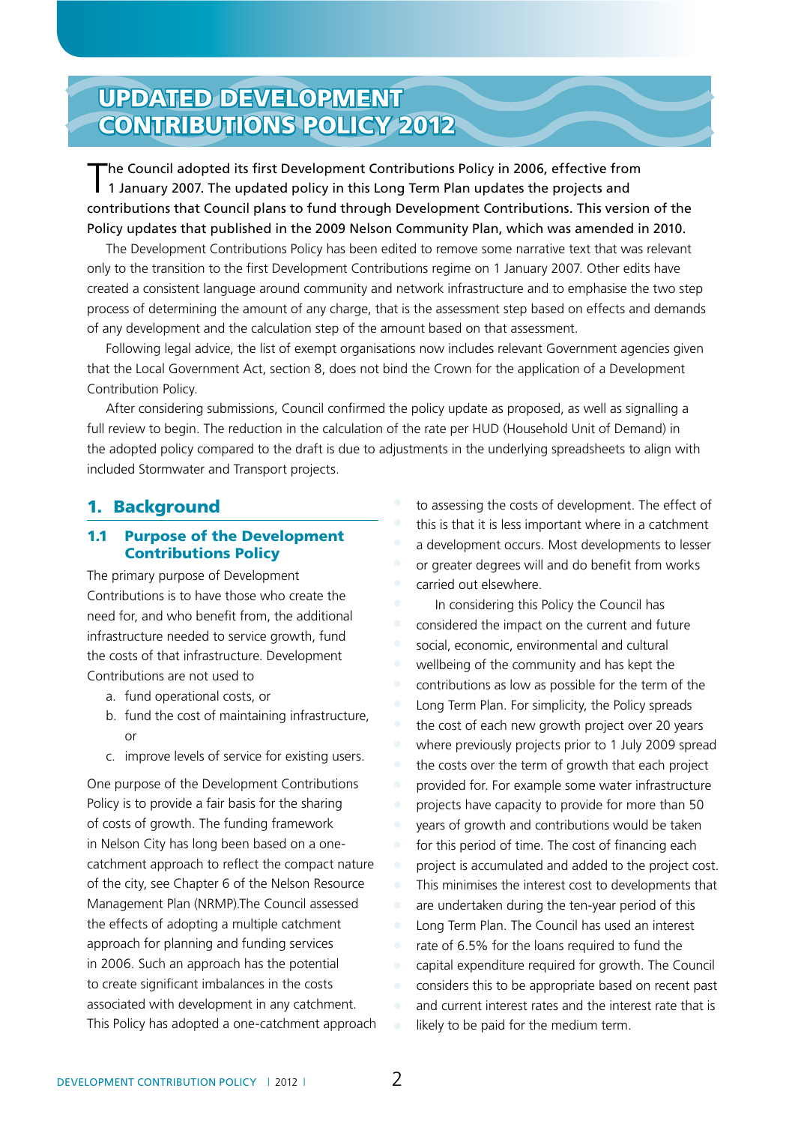# Updated DEVELOPMENT **CONTRIBUTIONS POLICY 2012**

The Council adopted its first Development Contributions Policy in 2006, effective from 1 January 2007. The updated policy in this Long Term Plan updates the projects and contributions that Council plans to fund through Development Contributions. This version of the Policy updates that published in the 2009 Nelson Community Plan, which was amended in 2010.

The Development Contributions Policy has been edited to remove some narrative text that was relevant only to the transition to the first Development Contributions regime on 1 January 2007. Other edits have created a consistent language around community and network infrastructure and to emphasise the two step process of determining the amount of any charge, that is the assessment step based on effects and demands of any development and the calculation step of the amount based on that assessment.

Following legal advice, the list of exempt organisations now includes relevant Government agencies given that the Local Government Act, section 8, does not bind the Crown for the application of a Development Contribution Policy.

After considering submissions, Council confirmed the policy update as proposed, as well as signalling a full review to begin. The reduction in the calculation of the rate per HUD (Household Unit of Demand) in the adopted policy compared to the draft is due to adjustments in the underlying spreadsheets to align with included Stormwater and Transport projects.

### 1. Background

### 1.1 Purpose of the Development Contributions Policy

The primary purpose of Development Contributions is to have those who create the need for, and who benefit from, the additional infrastructure needed to service growth, fund the costs of that infrastructure. Development Contributions are not used to

- a. fund operational costs, or
- b. fund the cost of maintaining infrastructure, or
- c. improve levels of service for existing users.

One purpose of the Development Contributions Policy is to provide a fair basis for the sharing of costs of growth. The funding framework in Nelson City has long been based on a onecatchment approach to reflect the compact nature of the city, see Chapter 6 of the Nelson Resource Management Plan (NRMP).The Council assessed the effects of adopting a multiple catchment approach for planning and funding services in 2006. Such an approach has the potential to create significant imbalances in the costs associated with development in any catchment. This Policy has adopted a one-catchment approach to assessing the costs of development. The effect of this is that it is less important where in a catchment a development occurs. Most developments to lesser or greater degrees will and do benefit from works carried out elsewhere.

In considering this Policy the Council has considered the impact on the current and future social, economic, environmental and cultural wellbeing of the community and has kept the contributions as low as possible for the term of the Long Term Plan. For simplicity, the Policy spreads the cost of each new growth project over 20 years where previously projects prior to 1 July 2009 spread the costs over the term of growth that each project provided for. For example some water infrastructure projects have capacity to provide for more than 50 years of growth and contributions would be taken for this period of time. The cost of financing each project is accumulated and added to the project cost. This minimises the interest cost to developments that are undertaken during the ten-year period of this Long Term Plan. The Council has used an interest rate of 6.5% for the loans required to fund the capital expenditure required for growth. The Council considers this to be appropriate based on recent past and current interest rates and the interest rate that is likely to be paid for the medium term.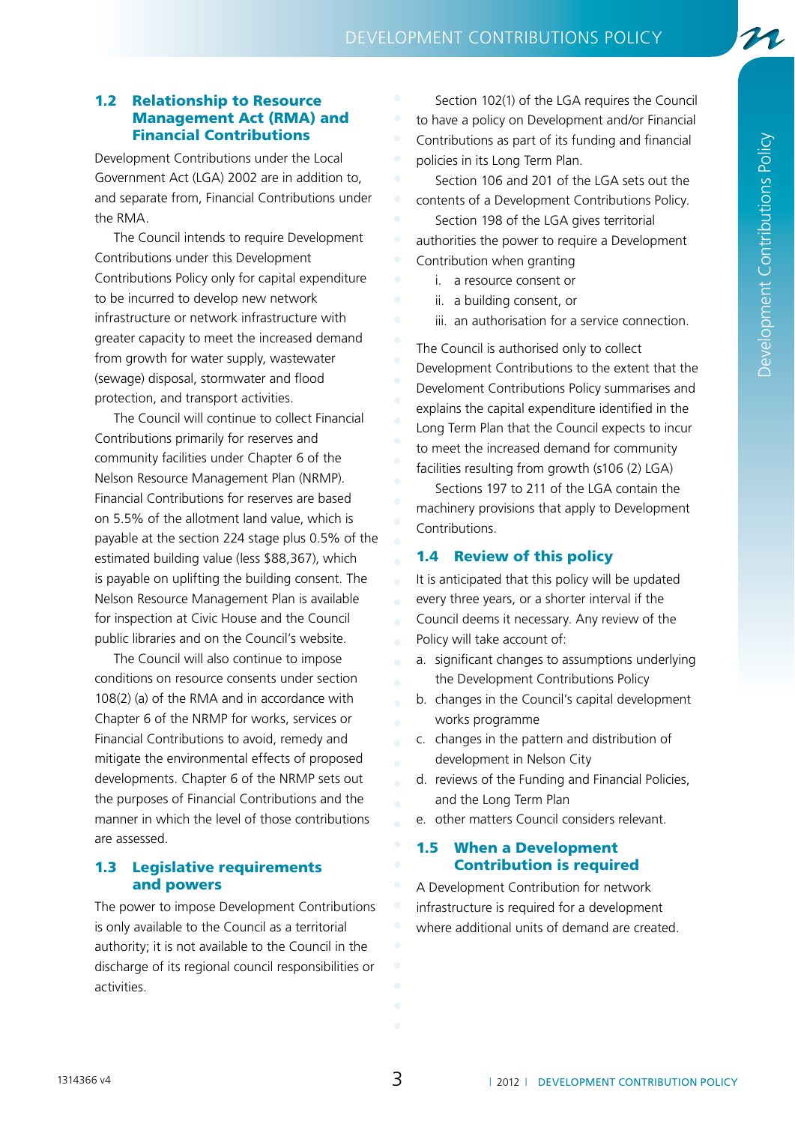21

### 1.2 Relationship to Resource Management Act (RMA) and Financial Contributions

Development Contributions under the Local Government Act (LGA) 2002 are in addition to, and separate from, Financial Contributions under the RMA.

The Council intends to require Development Contributions under this Development Contributions Policy only for capital expenditure to be incurred to develop new network infrastructure or network infrastructure with greater capacity to meet the increased demand from growth for water supply, wastewater (sewage) disposal, stormwater and flood protection, and transport activities.

The Council will continue to collect Financial Contributions primarily for reserves and community facilities under Chapter 6 of the Nelson Resource Management Plan (NRMP). Financial Contributions for reserves are based on 5.5% of the allotment land value, which is payable at the section 224 stage plus 0.5% of the estimated building value (less \$88,367), which is payable on uplifting the building consent. The Nelson Resource Management Plan is available for inspection at Civic House and the Council public libraries and on the Council's website.

The Council will also continue to impose conditions on resource consents under section 108(2) (a) of the RMA and in accordance with Chapter 6 of the NRMP for works, services or Financial Contributions to avoid, remedy and mitigate the environmental effects of proposed developments. Chapter 6 of the NRMP sets out the purposes of Financial Contributions and the manner in which the level of those contributions are assessed.

### 1.3 Legislative requirements and powers

The power to impose Development Contributions is only available to the Council as a territorial authority; it is not available to the Council in the discharge of its regional council responsibilities or activities.

Section 102(1) of the LGA requires the Council to have a policy on Development and/or Financial Contributions as part of its funding and financial policies in its Long Term Plan.

Section 106 and 201 of the LGA sets out the contents of a Development Contributions Policy.

Section 198 of the LGA gives territorial

authorities the power to require a Development Contribution when granting

- i. a resource consent or
- ii. a building consent, or
- iii. an authorisation for a service connection.

The Council is authorised only to collect Development Contributions to the extent that the Develoment Contributions Policy summarises and explains the capital expenditure identified in the Long Term Plan that the Council expects to incur to meet the increased demand for community facilities resulting from growth (s106 (2) LGA)

Sections 197 to 211 of the LGA contain the machinery provisions that apply to Development Contributions.

### 1.4 Review of this policy

It is anticipated that this policy will be updated every three years, or a shorter interval if the Council deems it necessary. Any review of the Policy will take account of:

- a. significant changes to assumptions underlying the Development Contributions Policy
- b. changes in the Council's capital development works programme
- c. changes in the pattern and distribution of development in Nelson City
- d. reviews of the Funding and Financial Policies, and the Long Term Plan
- e. other matters Council considers relevant.

### 1.5 When a Development Contribution is required

A Development Contribution for network infrastructure is required for a development where additional units of demand are created.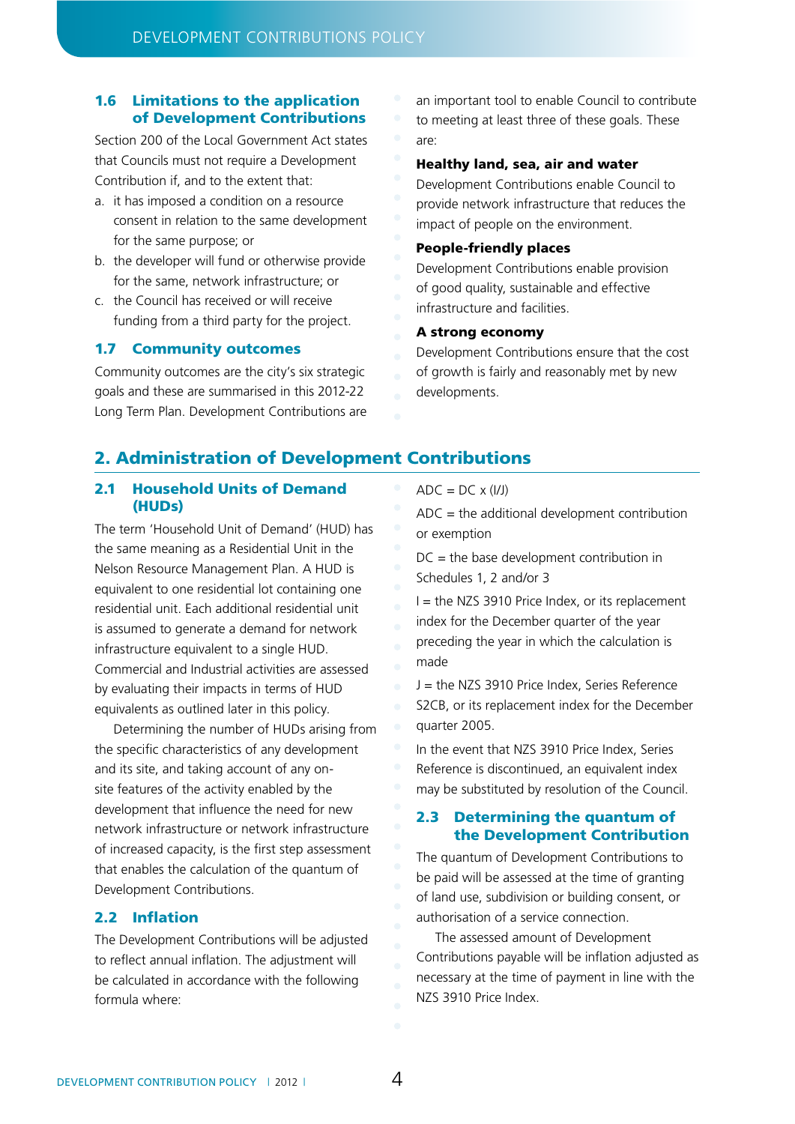### 1.6 Limitations to the application of Development Contributions

Section 200 of the Local Government Act states that Councils must not require a Development Contribution if, and to the extent that:

- a. it has imposed a condition on a resource consent in relation to the same development for the same purpose; or
- b. the developer will fund or otherwise provide for the same, network infrastructure; or
- c. the Council has received or will receive funding from a third party for the project.

### 1.7 Community outcomes

Community outcomes are the city's six strategic goals and these are summarised in this 2012-22 Long Term Plan. Development Contributions are an important tool to enable Council to contribute to meeting at least three of these goals. These are:

### Healthy land, sea, air and water

Development Contributions enable Council to provide network infrastructure that reduces the impact of people on the environment.

### People-friendly places

Development Contributions enable provision of good quality, sustainable and effective infrastructure and facilities.

### A strong economy

Development Contributions ensure that the cost of growth is fairly and reasonably met by new developments.

### 2. Administration of Development Contributions

### 2.1 Household Units of Demand (HUDs)

The term 'Household Unit of Demand' (HUD) has the same meaning as a Residential Unit in the Nelson Resource Management Plan. A HUD is equivalent to one residential lot containing one residential unit. Each additional residential unit is assumed to generate a demand for network infrastructure equivalent to a single HUD. Commercial and Industrial activities are assessed by evaluating their impacts in terms of HUD equivalents as outlined later in this policy.

Determining the number of HUDs arising from the specific characteristics of any development and its site, and taking account of any onsite features of the activity enabled by the development that influence the need for new network infrastructure or network infrastructure of increased capacity, is the first step assessment that enables the calculation of the quantum of Development Contributions.

### 2.2 Inflation

The Development Contributions will be adjusted to reflect annual inflation. The adjustment will be calculated in accordance with the following formula where:

 $ADC = DC \times (I/J)$ 

ADC = the additional development contribution or exemption

DC = the base development contribution in Schedules 1, 2 and/or 3

 $I =$  the NZS 3910 Price Index, or its replacement index for the December quarter of the year preceding the year in which the calculation is made

J = the NZS 3910 Price Index, Series Reference S2CB, or its replacement index for the December quarter 2005.

In the event that NZS 3910 Price Index, Series Reference is discontinued, an equivalent index may be substituted by resolution of the Council.

### 2.3 Determining the quantum of the Development Contribution

The quantum of Development Contributions to be paid will be assessed at the time of granting of land use, subdivision or building consent, or authorisation of a service connection.

The assessed amount of Development Contributions payable will be inflation adjusted as necessary at the time of payment in line with the NZS 3910 Price Index.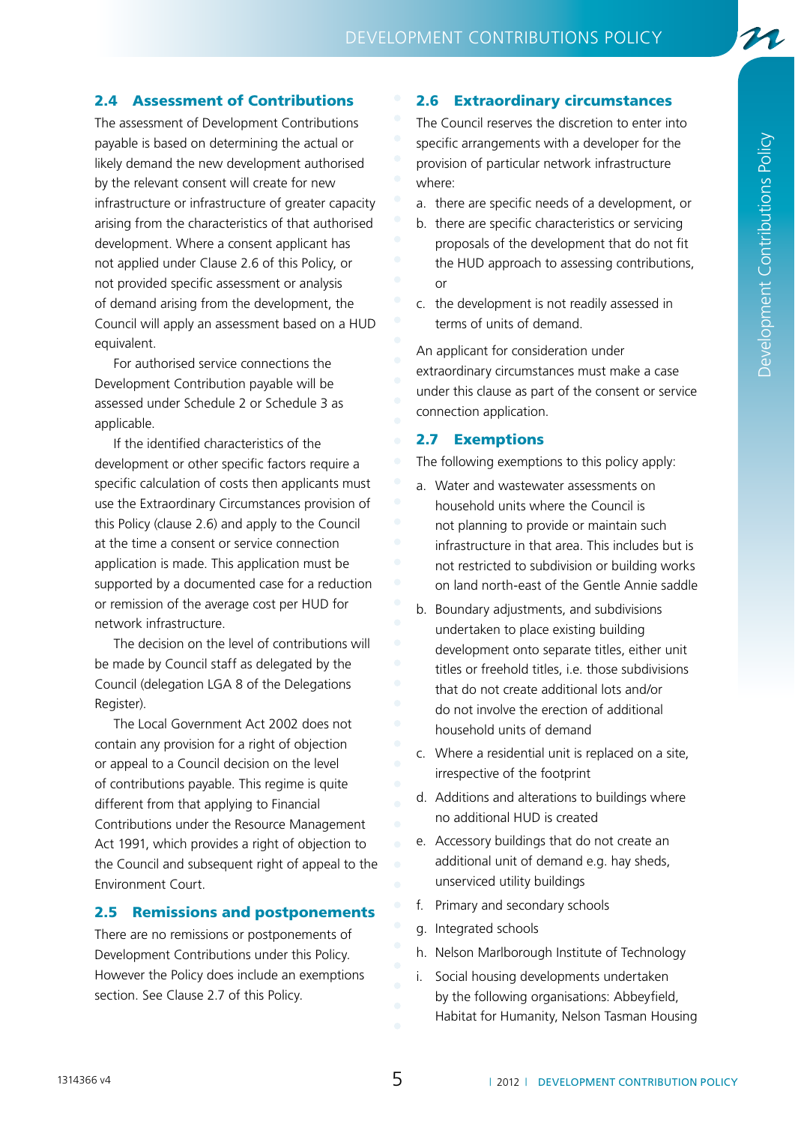### 2.4 Assessment of Contributions

The assessment of Development Contributions payable is based on determining the actual or likely demand the new development authorised by the relevant consent will create for new infrastructure or infrastructure of greater capacity arising from the characteristics of that authorised development. Where a consent applicant has not applied under Clause 2.6 of this Policy, or not provided specific assessment or analysis of demand arising from the development, the Council will apply an assessment based on a HUD equivalent.

For authorised service connections the Development Contribution payable will be assessed under Schedule 2 or Schedule 3 as applicable.

If the identified characteristics of the development or other specific factors require a specific calculation of costs then applicants must use the Extraordinary Circumstances provision of this Policy (clause 2.6) and apply to the Council at the time a consent or service connection application is made. This application must be supported by a documented case for a reduction or remission of the average cost per HUD for network infrastructure.

The decision on the level of contributions will be made by Council staff as delegated by the Council (delegation LGA 8 of the Delegations Register).

The Local Government Act 2002 does not contain any provision for a right of objection or appeal to a Council decision on the level of contributions payable. This regime is quite different from that applying to Financial Contributions under the Resource Management Act 1991, which provides a right of objection to the Council and subsequent right of appeal to the Environment Court.

### 2.5 Remissions and postponements

There are no remissions or postponements of Development Contributions under this Policy. However the Policy does include an exemptions section. See Clause 2.7 of this Policy.

### 2.6 Extraordinary circumstances

The Council reserves the discretion to enter into specific arrangements with a developer for the provision of particular network infrastructure where:

- a. there are specific needs of a development, or
- b. there are specific characteristics or servicing proposals of the development that do not fit the HUD approach to assessing contributions, or
- c. the development is not readily assessed in terms of units of demand.

An applicant for consideration under extraordinary circumstances must make a case under this clause as part of the consent or service connection application.

### 2.7 Exemptions

The following exemptions to this policy apply:

- a. Water and wastewater assessments on household units where the Council is not planning to provide or maintain such infrastructure in that area. This includes but is not restricted to subdivision or building works on land north-east of the Gentle Annie saddle
- b. Boundary adjustments, and subdivisions undertaken to place existing building development onto separate titles, either unit titles or freehold titles, i.e. those subdivisions that do not create additional lots and/or do not involve the erection of additional household units of demand
- c. Where a residential unit is replaced on a site, irrespective of the footprint
- d. Additions and alterations to buildings where no additional HUD is created
- e. Accessory buildings that do not create an additional unit of demand e.g. hay sheds, unserviced utility buildings
- f. Primary and secondary schools
- g. Integrated schools
- h. Nelson Marlborough Institute of Technology
- i. Social housing developments undertaken by the following organisations: Abbeyfield, Habitat for Humanity, Nelson Tasman Housing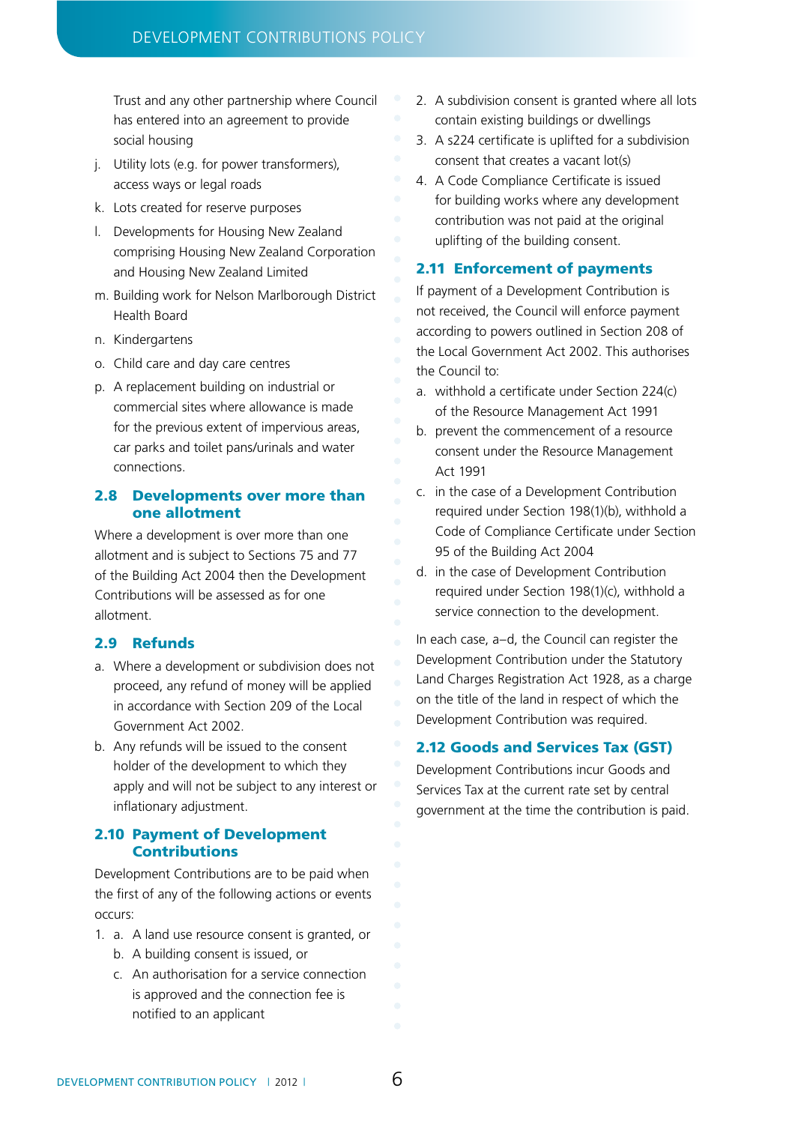Trust and any other partnership where Council has entered into an agreement to provide social housing

- j. Utility lots (e.g. for power transformers), access ways or legal roads
- k. Lots created for reserve purposes
- l. Developments for Housing New Zealand comprising Housing New Zealand Corporation and Housing New Zealand Limited
- m. Building work for Nelson Marlborough District Health Board
- n. Kindergartens
- o. Child care and day care centres
- p. A replacement building on industrial or commercial sites where allowance is made for the previous extent of impervious areas, car parks and toilet pans/urinals and water connections.

### 2.8 Developments over more than one allotment

Where a development is over more than one allotment and is subject to Sections 75 and 77 of the Building Act 2004 then the Development Contributions will be assessed as for one allotment.

### 2.9 Refunds

- a. Where a development or subdivision does not proceed, any refund of money will be applied in accordance with Section 209 of the Local Government Act 2002.
- b. Any refunds will be issued to the consent holder of the development to which they apply and will not be subject to any interest or inflationary adjustment.

### 2.10 Payment of Development Contributions

Development Contributions are to be paid when the first of any of the following actions or events occurs:

- 1. a. A land use resource consent is granted, or b. A building consent is issued, or
	- c. An authorisation for a service connection is approved and the connection fee is notified to an applicant
- 2. A subdivision consent is granted where all lots contain existing buildings or dwellings
- 3. A s224 certificate is uplifted for a subdivision consent that creates a vacant lot(s)
- 4. A Code Compliance Certificate is issued for building works where any development contribution was not paid at the original uplifting of the building consent.

### 2.11 Enforcement of payments

If payment of a Development Contribution is not received, the Council will enforce payment according to powers outlined in Section 208 of the Local Government Act 2002. This authorises the Council to:

- a. withhold a certificate under Section 224(c) of the Resource Management Act 1991
- b. prevent the commencement of a resource consent under the Resource Management Act 1991
- c. in the case of a Development Contribution required under Section 198(1)(b), withhold a Code of Compliance Certificate under Section 95 of the Building Act 2004
- d. in the case of Development Contribution required under Section 198(1)(c), withhold a service connection to the development.

In each case, a–d, the Council can register the Development Contribution under the Statutory Land Charges Registration Act 1928, as a charge on the title of the land in respect of which the Development Contribution was required.

### 2.12 Goods and Services Tax (GST)

Development Contributions incur Goods and Services Tax at the current rate set by central government at the time the contribution is paid.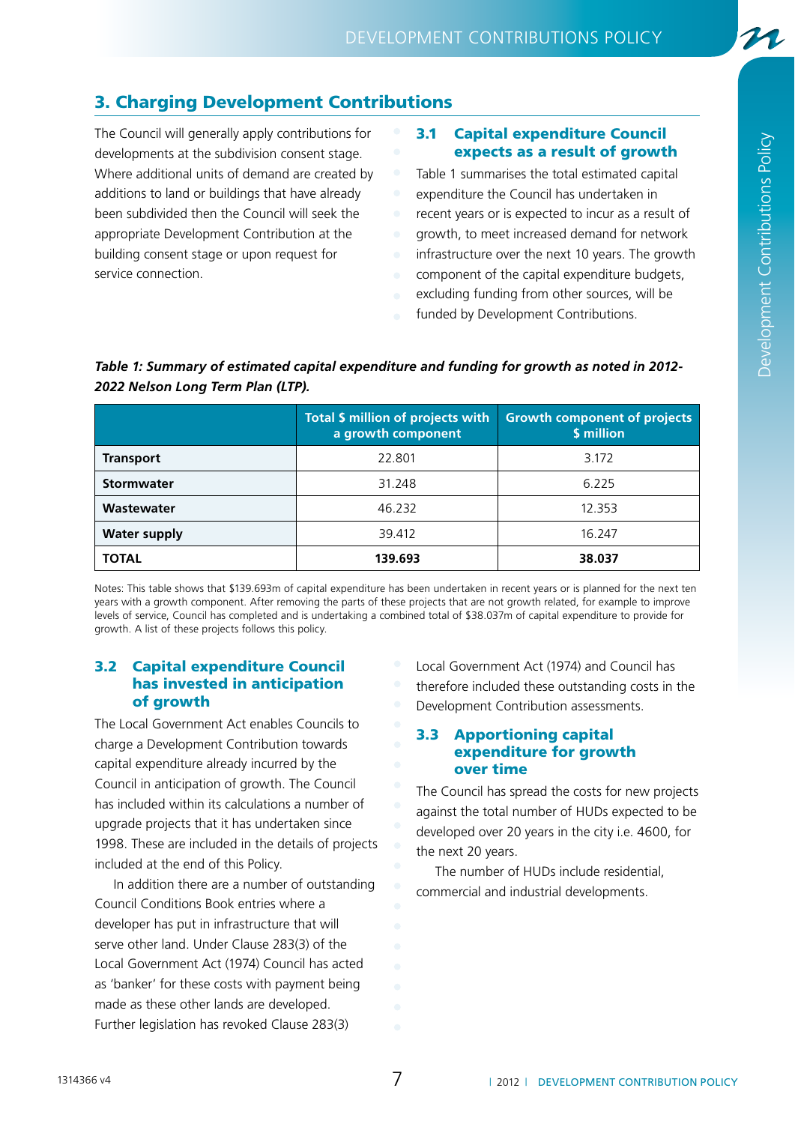## 3. Charging Development Contributions

The Council will generally apply contributions for developments at the subdivision consent stage. Where additional units of demand are created by additions to land or buildings that have already been subdivided then the Council will seek the appropriate Development Contribution at the building consent stage or upon request for service connection.

### 3.1 Capital expenditure Council expects as a result of growth

Table 1 summarises the total estimated capital expenditure the Council has undertaken in

- recent years or is expected to incur as a result of
- growth, to meet increased demand for network
- infrastructure over the next 10 years. The growth
- component of the capital expenditure budgets,
- excluding funding from other sources, will be
- funded by Development Contributions.

### *Table 1: Summary of estimated capital expenditure and funding for growth as noted in 2012- 2022 Nelson Long Term Plan (LTP).*

|                     | Total \$ million of projects with<br>a growth component | <b>Growth component of projects</b><br>\$ million |
|---------------------|---------------------------------------------------------|---------------------------------------------------|
| <b>Transport</b>    | 22.801                                                  | 3.172                                             |
| <b>Stormwater</b>   | 31.248                                                  | 6.225                                             |
| Wastewater          | 46.232                                                  | 12.353                                            |
| <b>Water supply</b> | 39.412                                                  | 16.247                                            |
| <b>TOTAL</b>        | 139.693                                                 | 38,037                                            |

Notes: This table shows that \$139.693m of capital expenditure has been undertaken in recent years or is planned for the next ten years with a growth component. After removing the parts of these projects that are not growth related, for example to improve levels of service, Council has completed and is undertaking a combined total of \$38.037m of capital expenditure to provide for growth. A list of these projects follows this policy.

### 3.2 Capital expenditure Council has invested in anticipation of growth

The Local Government Act enables Councils to charge a Development Contribution towards capital expenditure already incurred by the Council in anticipation of growth. The Council has included within its calculations a number of upgrade projects that it has undertaken since 1998. These are included in the details of projects included at the end of this Policy.

In addition there are a number of outstanding Council Conditions Book entries where a developer has put in infrastructure that will serve other land. Under Clause 283(3) of the Local Government Act (1974) Council has acted as 'banker' for these costs with payment being made as these other lands are developed. Further legislation has revoked Clause 283(3)

Local Government Act (1974) and Council has therefore included these outstanding costs in the Development Contribution assessments.

### 3.3 Apportioning capital expenditure for growth over time

The Council has spread the costs for new projects against the total number of HUDs expected to be developed over 20 years in the city i.e. 4600, for the next 20 years.

The number of HUDs include residential, commercial and industrial developments.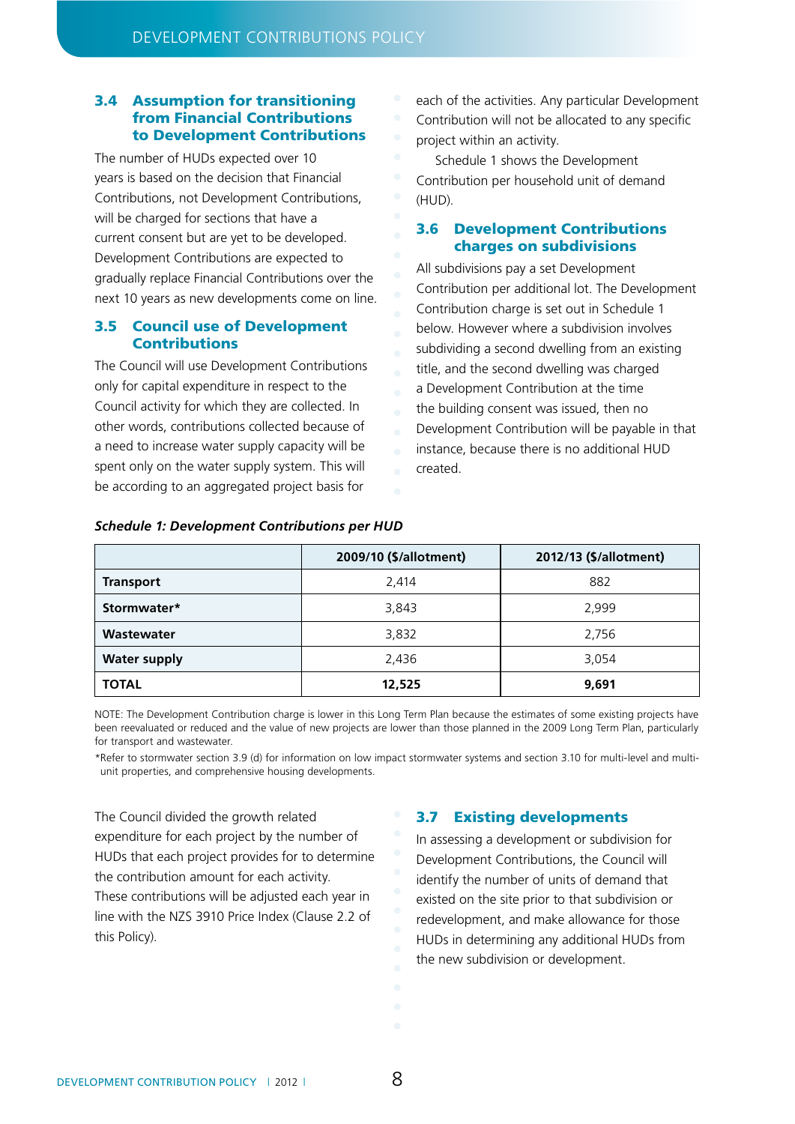### 3.4 Assumption for transitioning from Financial Contributions to Development Contributions

The number of HUDs expected over 10 years is based on the decision that Financial Contributions, not Development Contributions, will be charged for sections that have a current consent but are yet to be developed. Development Contributions are expected to gradually replace Financial Contributions over the next 10 years as new developments come on line.

### 3.5 Council use of Development Contributions

The Council will use Development Contributions only for capital expenditure in respect to the Council activity for which they are collected. In other words, contributions collected because of a need to increase water supply capacity will be spent only on the water supply system. This will be according to an aggregated project basis for

each of the activities. Any particular Development Contribution will not be allocated to any specific project within an activity.

Schedule 1 shows the Development Contribution per household unit of demand (HUD).

### 3.6 Development Contributions charges on subdivisions

All subdivisions pay a set Development Contribution per additional lot. The Development Contribution charge is set out in Schedule 1 below. However where a subdivision involves subdividing a second dwelling from an existing title, and the second dwelling was charged a Development Contribution at the time the building consent was issued, then no Development Contribution will be payable in that instance, because there is no additional HUD created.

|                     | 2009/10 (\$/allotment) | 2012/13 (\$/allotment) |
|---------------------|------------------------|------------------------|
| <b>Transport</b>    | 2,414                  | 882                    |
| Stormwater*         | 3,843                  | 2,999                  |
| Wastewater          | 3,832                  | 2,756                  |
| <b>Water supply</b> | 2,436                  | 3,054                  |
| <b>TOTAL</b>        | 12,525                 | 9,691                  |

### *Schedule 1: Development Contributions per HUD*

NOTE: The Development Contribution charge is lower in this Long Term Plan because the estimates of some existing projects have been reevaluated or reduced and the value of new projects are lower than those planned in the 2009 Long Term Plan, particularly for transport and wastewater.

\*Refer to stormwater section 3.9 (d) for information on low impact stormwater systems and section 3.10 for multi-level and multiunit properties, and comprehensive housing developments.

The Council divided the growth related expenditure for each project by the number of HUDs that each project provides for to determine the contribution amount for each activity. These contributions will be adjusted each year in line with the NZS 3910 Price Index (Clause 2.2 of this Policy).

### 3.7 Existing developments

In assessing a development or subdivision for Development Contributions, the Council will identify the number of units of demand that existed on the site prior to that subdivision or redevelopment, and make allowance for those HUDs in determining any additional HUDs from the new subdivision or development.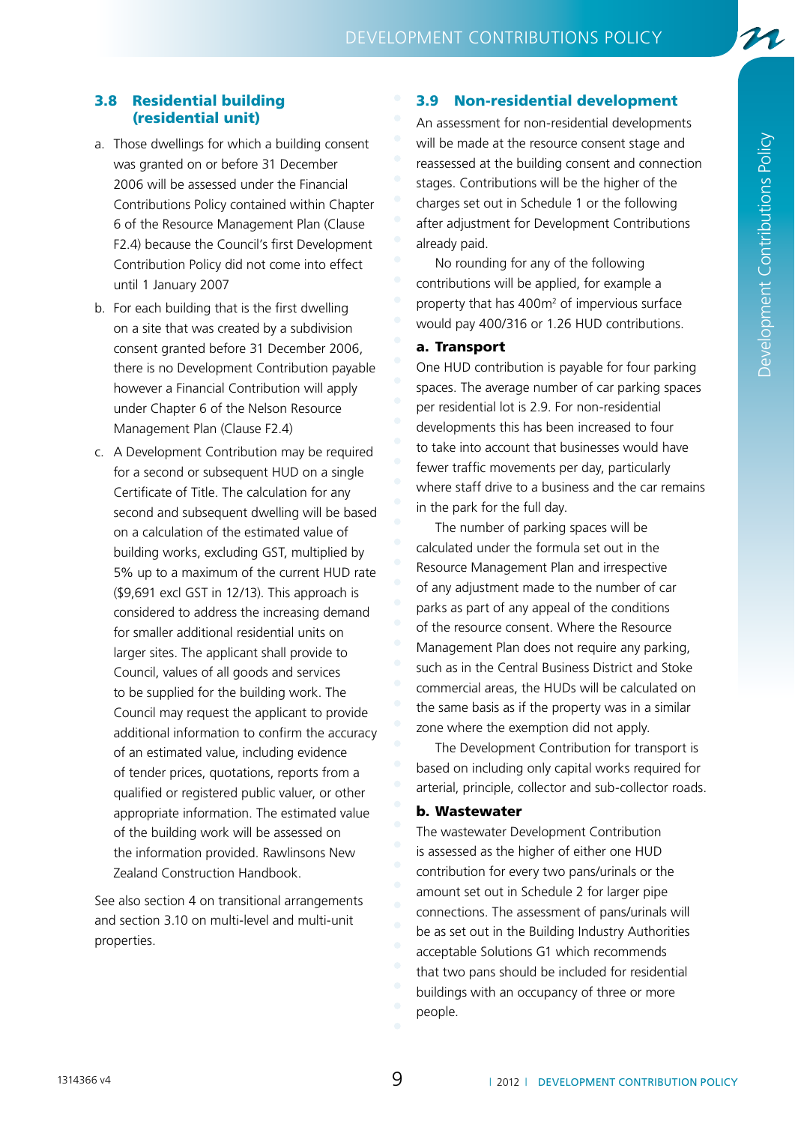21

### 3.8 Residential building (residential unit)

- a. Those dwellings for which a building consent was granted on or before 31 December 2006 will be assessed under the Financial Contributions Policy contained within Chapter 6 of the Resource Management Plan (Clause F2.4) because the Council's first Development Contribution Policy did not come into effect until 1 January 2007
- b. For each building that is the first dwelling on a site that was created by a subdivision consent granted before 31 December 2006, there is no Development Contribution payable however a Financial Contribution will apply under Chapter 6 of the Nelson Resource Management Plan (Clause F2.4)
- c. A Development Contribution may be required for a second or subsequent HUD on a single Certificate of Title. The calculation for any second and subsequent dwelling will be based on a calculation of the estimated value of building works, excluding GST, multiplied by 5% up to a maximum of the current HUD rate (\$9,691 excl GST in 12/13). This approach is considered to address the increasing demand for smaller additional residential units on larger sites. The applicant shall provide to Council, values of all goods and services to be supplied for the building work. The Council may request the applicant to provide additional information to confirm the accuracy of an estimated value, including evidence of tender prices, quotations, reports from a qualified or registered public valuer, or other appropriate information. The estimated value of the building work will be assessed on the information provided. Rawlinsons New Zealand Construction Handbook.

See also section 4 on transitional arrangements and section 3.10 on multi-level and multi-unit properties.

### 3.9 Non-residential development

An assessment for non-residential developments will be made at the resource consent stage and reassessed at the building consent and connection stages. Contributions will be the higher of the charges set out in Schedule 1 or the following after adjustment for Development Contributions already paid.

No rounding for any of the following contributions will be applied, for example a property that has  $400m^2$  of impervious surface would pay 400/316 or 1.26 HUD contributions.

### a. Transport

One HUD contribution is payable for four parking spaces. The average number of car parking spaces per residential lot is 2.9. For non-residential developments this has been increased to four to take into account that businesses would have fewer traffic movements per day, particularly where staff drive to a business and the car remains in the park for the full day.

The number of parking spaces will be calculated under the formula set out in the Resource Management Plan and irrespective of any adjustment made to the number of car parks as part of any appeal of the conditions of the resource consent. Where the Resource Management Plan does not require any parking, such as in the Central Business District and Stoke commercial areas, the HUDs will be calculated on the same basis as if the property was in a similar zone where the exemption did not apply.

The Development Contribution for transport is based on including only capital works required for arterial, principle, collector and sub-collector roads.

### b. Wastewater

The wastewater Development Contribution is assessed as the higher of either one HUD contribution for every two pans/urinals or the amount set out in Schedule 2 for larger pipe connections. The assessment of pans/urinals will be as set out in the Building Industry Authorities acceptable Solutions G1 which recommends that two pans should be included for residential buildings with an occupancy of three or more people.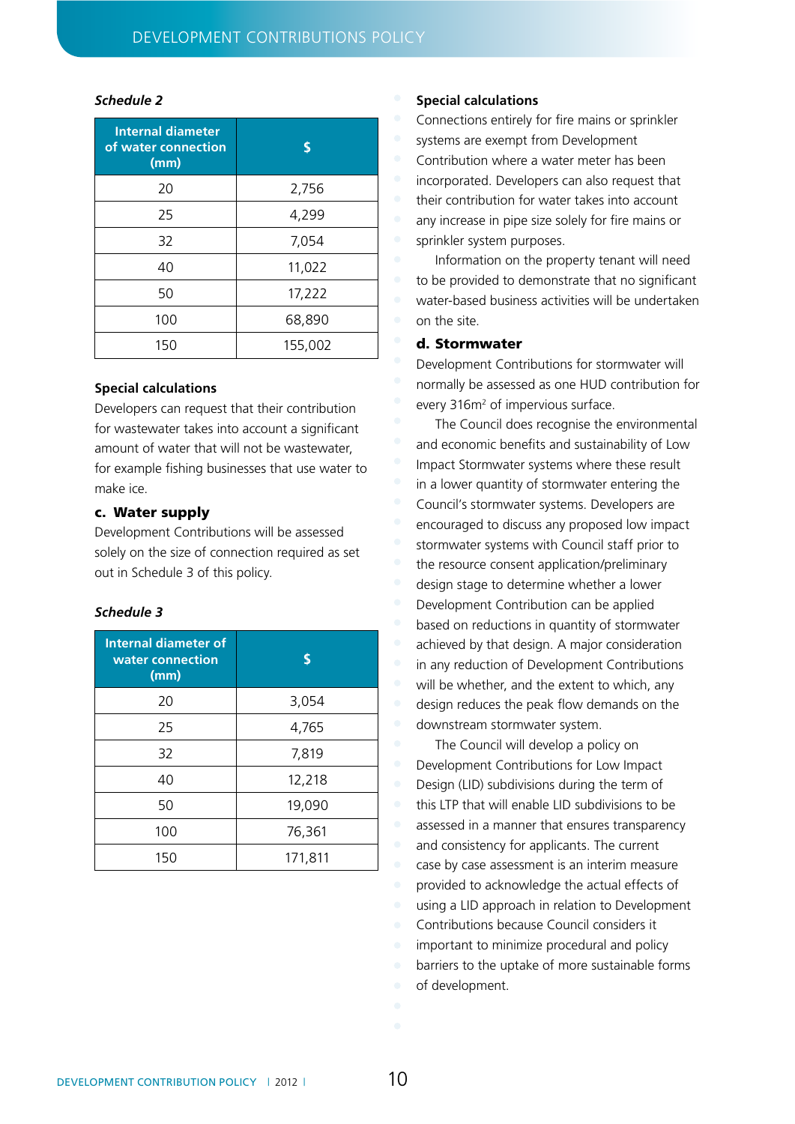### *Schedule 2*

| <b>Internal diameter</b><br>of water connection<br>(mm) | S       |
|---------------------------------------------------------|---------|
| 20                                                      | 2,756   |
| 25                                                      | 4,299   |
| 32                                                      | 7,054   |
| 40                                                      | 11,022  |
| 50                                                      | 17,222  |
| 100                                                     | 68,890  |
| 150                                                     | 155,002 |

### **Special calculations**

Developers can request that their contribution for wastewater takes into account a significant amount of water that will not be wastewater, for example fishing businesses that use water to make ice.

### c. Water supply

Development Contributions will be assessed solely on the size of connection required as set out in Schedule 3 of this policy.

### *Schedule 3*

| <b>Internal diameter of</b><br>water connection<br>(mm) | S       |
|---------------------------------------------------------|---------|
| 20                                                      | 3,054   |
| 25                                                      | 4,765   |
| 32                                                      | 7,819   |
| 40                                                      | 12,218  |
| 50                                                      | 19,090  |
| 100                                                     | 76,361  |
| 150                                                     | 171,811 |

### **Special calculations**

Connections entirely for fire mains or sprinkler systems are exempt from Development Contribution where a water meter has been incorporated. Developers can also request that their contribution for water takes into account any increase in pipe size solely for fire mains or sprinkler system purposes.

Information on the property tenant will need to be provided to demonstrate that no significant water-based business activities will be undertaken on the site.

### d. Stormwater

Development Contributions for stormwater will normally be assessed as one HUD contribution for every 316m<sup>2</sup> of impervious surface.

The Council does recognise the environmental and economic benefits and sustainability of Low Impact Stormwater systems where these result in a lower quantity of stormwater entering the Council's stormwater systems. Developers are encouraged to discuss any proposed low impact stormwater systems with Council staff prior to the resource consent application/preliminary design stage to determine whether a lower Development Contribution can be applied based on reductions in quantity of stormwater achieved by that design. A major consideration in any reduction of Development Contributions will be whether, and the extent to which, any design reduces the peak flow demands on the downstream stormwater system.

The Council will develop a policy on Development Contributions for Low Impact Design (LID) subdivisions during the term of this LTP that will enable LID subdivisions to be assessed in a manner that ensures transparency and consistency for applicants. The current case by case assessment is an interim measure provided to acknowledge the actual effects of using a LID approach in relation to Development Contributions because Council considers it important to minimize procedural and policy barriers to the uptake of more sustainable forms of development.

DEVELOPMENT CONTRIBUTION POLICY | 2012 | 100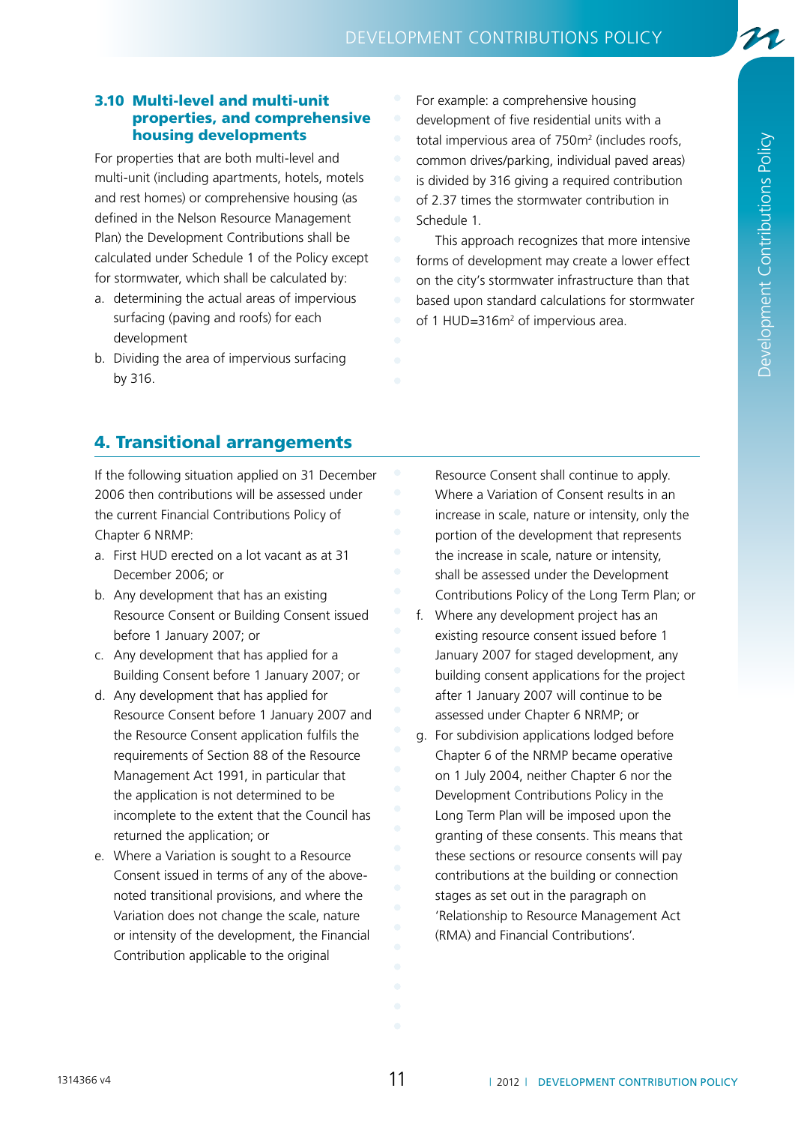### development contributions policy

### 3.10 Multi-level and multi-unit properties, and comprehensive housing developments

For properties that are both multi-level and multi-unit (including apartments, hotels, motels and rest homes) or comprehensive housing (as defined in the Nelson Resource Management Plan) the Development Contributions shall be calculated under Schedule 1 of the Policy except for stormwater, which shall be calculated by:

- a. determining the actual areas of impervious surfacing (paving and roofs) for each development
- b. Dividing the area of impervious surfacing by 316.

For example: a comprehensive housing development of five residential units with a total impervious area of  $750m<sup>2</sup>$  (includes roofs, common drives/parking, individual paved areas) is divided by 316 giving a required contribution of 2.37 times the stormwater contribution in Schedule 1.

This approach recognizes that more intensive forms of development may create a lower effect on the city's stormwater infrastructure than that based upon standard calculations for stormwater of 1 HUD=316 $m<sup>2</sup>$  of impervious area.

### 4. Transitional arrangements

If the following situation applied on 31 December 2006 then contributions will be assessed under the current Financial Contributions Policy of Chapter 6 NRMP:

- a. First HUD erected on a lot vacant as at 31 December 2006; or
- b. Any development that has an existing Resource Consent or Building Consent issued before 1 January 2007; or
- c. Any development that has applied for a Building Consent before 1 January 2007; or
- d. Any development that has applied for Resource Consent before 1 January 2007 and the Resource Consent application fulfils the requirements of Section 88 of the Resource Management Act 1991, in particular that the application is not determined to be incomplete to the extent that the Council has returned the application; or
- e. Where a Variation is sought to a Resource Consent issued in terms of any of the abovenoted transitional provisions, and where the Variation does not change the scale, nature or intensity of the development, the Financial Contribution applicable to the original

Resource Consent shall continue to apply. Where a Variation of Consent results in an increase in scale, nature or intensity, only the portion of the development that represents the increase in scale, nature or intensity, shall be assessed under the Development Contributions Policy of the Long Term Plan; or

- f. Where any development project has an existing resource consent issued before 1 January 2007 for staged development, any building consent applications for the project after 1 January 2007 will continue to be assessed under Chapter 6 NRMP; or
- g. For subdivision applications lodged before Chapter 6 of the NRMP became operative on 1 July 2004, neither Chapter 6 nor the Development Contributions Policy in the Long Term Plan will be imposed upon the granting of these consents. This means that these sections or resource consents will pay contributions at the building or connection stages as set out in the paragraph on 'Relationship to Resource Management Act (RMA) and Financial Contributions'.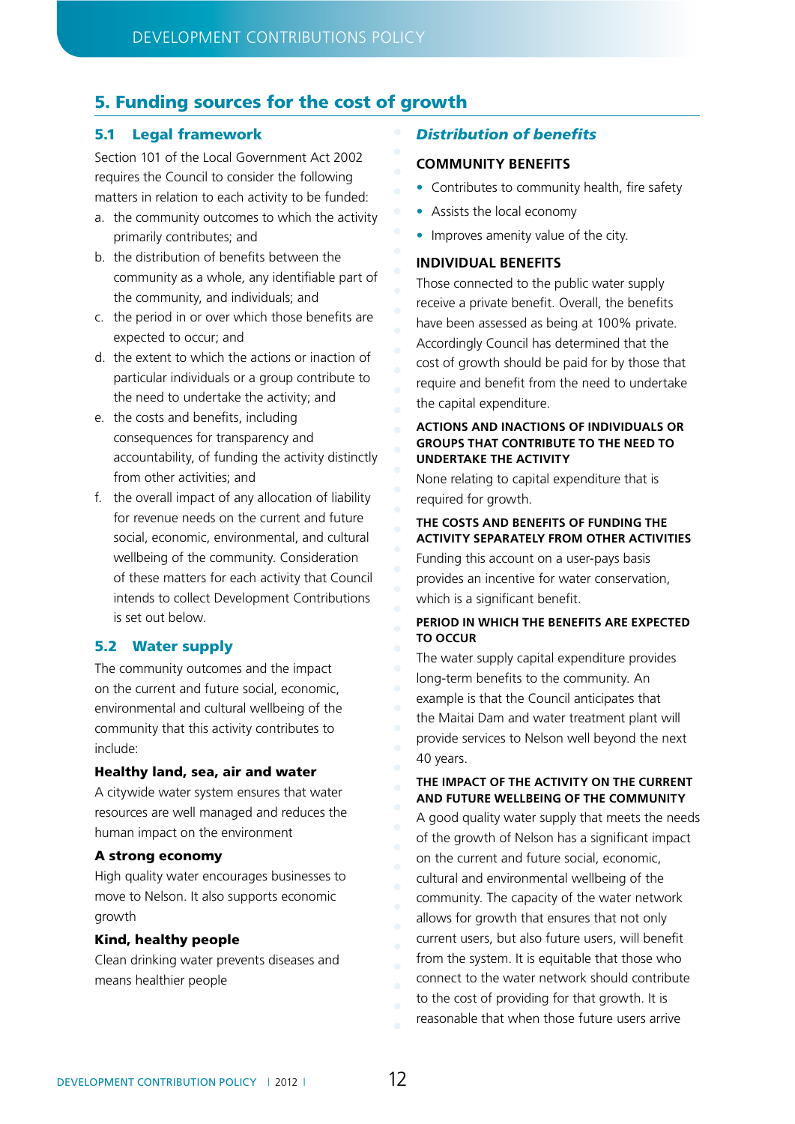### 5. Funding sources for the cost of growth

### 5.1 Legal framework

Section 101 of the Local Government Act 2002 requires the Council to consider the following matters in relation to each activity to be funded:

- a. the community outcomes to which the activity primarily contributes; and
- b. the distribution of benefits between the community as a whole, any identifiable part of the community, and individuals; and
- c. the period in or over which those benefits are expected to occur; and
- d. the extent to which the actions or inaction of particular individuals or a group contribute to the need to undertake the activity; and
- e. the costs and benefits, including consequences for transparency and accountability, of funding the activity distinctly from other activities; and
- f. the overall impact of any allocation of liability for revenue needs on the current and future social, economic, environmental, and cultural wellbeing of the community. Consideration of these matters for each activity that Council intends to collect Development Contributions is set out below.

### 5.2 Water supply

The community outcomes and the impact on the current and future social, economic, environmental and cultural wellbeing of the community that this activity contributes to include:

### Healthy land, sea, air and water

A citywide water system ensures that water resources are well managed and reduces the human impact on the environment

### A strong economy

High quality water encourages businesses to move to Nelson. It also supports economic growth

### Kind, healthy people

Clean drinking water prevents diseases and means healthier people

### *Distribution of benefits*

### **COMMUNITY BENEFITS**

- Contributes to community health, fire safety
- Assists the local economy
- Improves amenity value of the city.

### **INDIVIDUAL BENEFITS**

Those connected to the public water supply receive a private benefit. Overall, the benefits have been assessed as being at 100% private. Accordingly Council has determined that the cost of growth should be paid for by those that require and benefit from the need to undertake the capital expenditure.

### **ACTIONS AND INACTIONS OF INDIVIDUALS OR GROUPS THAT CONTRIBUTE TO THE NEED TO UNDERTAKE THE ACTIVITY**

None relating to capital expenditure that is required for growth.

### **THE COSTS AND BENEFITS OF FUNDING THE ACTIVITY SEPARATELY FROM OTHER ACTIVITIES**

Funding this account on a user-pays basis provides an incentive for water conservation, which is a significant benefit.

### **PERIOD IN WHICH THE BENEFITS ARE EXPECTED TO OCCUR**

The water supply capital expenditure provides long-term benefits to the community. An example is that the Council anticipates that the Maitai Dam and water treatment plant will provide services to Nelson well beyond the next 40 years.

### **THE IMPACT OF THE ACTIVITY ON THE CURRENT AND FUTURE WELLBEING OF THE COMMUNITY**

A good quality water supply that meets the needs of the growth of Nelson has a significant impact on the current and future social, economic, cultural and environmental wellbeing of the community. The capacity of the water network allows for growth that ensures that not only current users, but also future users, will benefit from the system. It is equitable that those who connect to the water network should contribute to the cost of providing for that growth. It is reasonable that when those future users arrive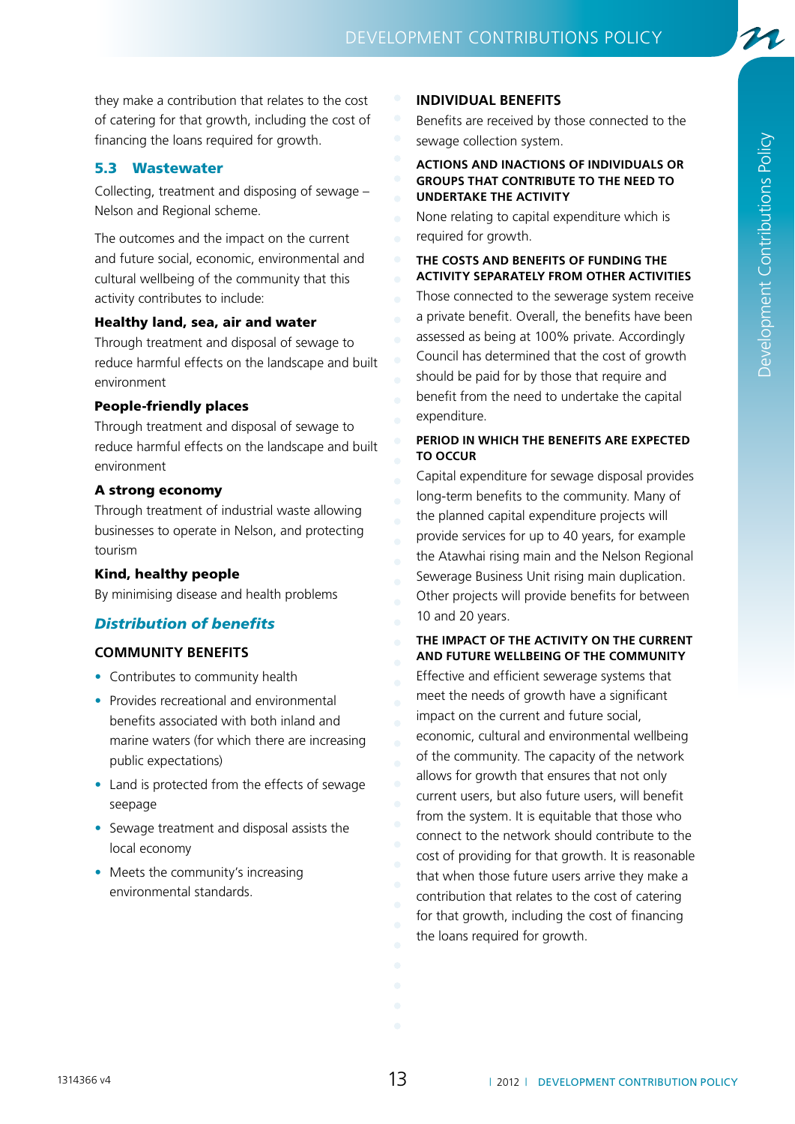they make a contribution that relates to the cost of catering for that growth, including the cost of financing the loans required for growth.

### 5.3 Wastewater

Collecting, treatment and disposing of sewage – Nelson and Regional scheme.

The outcomes and the impact on the current and future social, economic, environmental and cultural wellbeing of the community that this activity contributes to include:

### Healthy land, sea, air and water

Through treatment and disposal of sewage to reduce harmful effects on the landscape and built environment

### People-friendly places

Through treatment and disposal of sewage to reduce harmful effects on the landscape and built environment

### A strong economy

Through treatment of industrial waste allowing businesses to operate in Nelson, and protecting tourism

### Kind, healthy people

By minimising disease and health problems

### *Distribution of benefits*

### **COMMUNITY BENEFITS**

- Contributes to community health
- Provides recreational and environmental benefits associated with both inland and marine waters (for which there are increasing public expectations)
- Land is protected from the effects of sewage seepage
- Sewage treatment and disposal assists the local economy
- Meets the community's increasing environmental standards.

### **INDIVIDUAL BENEFITS**

Benefits are received by those connected to the sewage collection system.

### **ACTIONS AND INACTIONS OF INDIVIDUALS OR GROUPS THAT CONTRIBUTE TO THE NEED TO UNDERTAKE THE ACTIVITY**

None relating to capital expenditure which is required for growth.

**THE COSTS AND BENEFITS OF FUNDING THE ACTIVITY SEPARATELY FROM OTHER ACTIVITIES** Those connected to the sewerage system receive a private benefit. Overall, the benefits have been assessed as being at 100% private. Accordingly Council has determined that the cost of growth should be paid for by those that require and benefit from the need to undertake the capital expenditure.

### **PERIOD IN WHICH THE BENEFITS ARE EXPECTED TO OCCUR**

Capital expenditure for sewage disposal provides long-term benefits to the community. Many of the planned capital expenditure projects will provide services for up to 40 years, for example the Atawhai rising main and the Nelson Regional Sewerage Business Unit rising main duplication. Other projects will provide benefits for between 10 and 20 years.

**THE IMPACT OF THE ACTIVITY ON THE CURRENT AND FUTURE WELLBEING OF THE COMMUNITY** Effective and efficient sewerage systems that

meet the needs of growth have a significant impact on the current and future social, economic, cultural and environmental wellbeing of the community. The capacity of the network allows for growth that ensures that not only current users, but also future users, will benefit from the system. It is equitable that those who connect to the network should contribute to the cost of providing for that growth. It is reasonable that when those future users arrive they make a contribution that relates to the cost of catering for that growth, including the cost of financing the loans required for growth.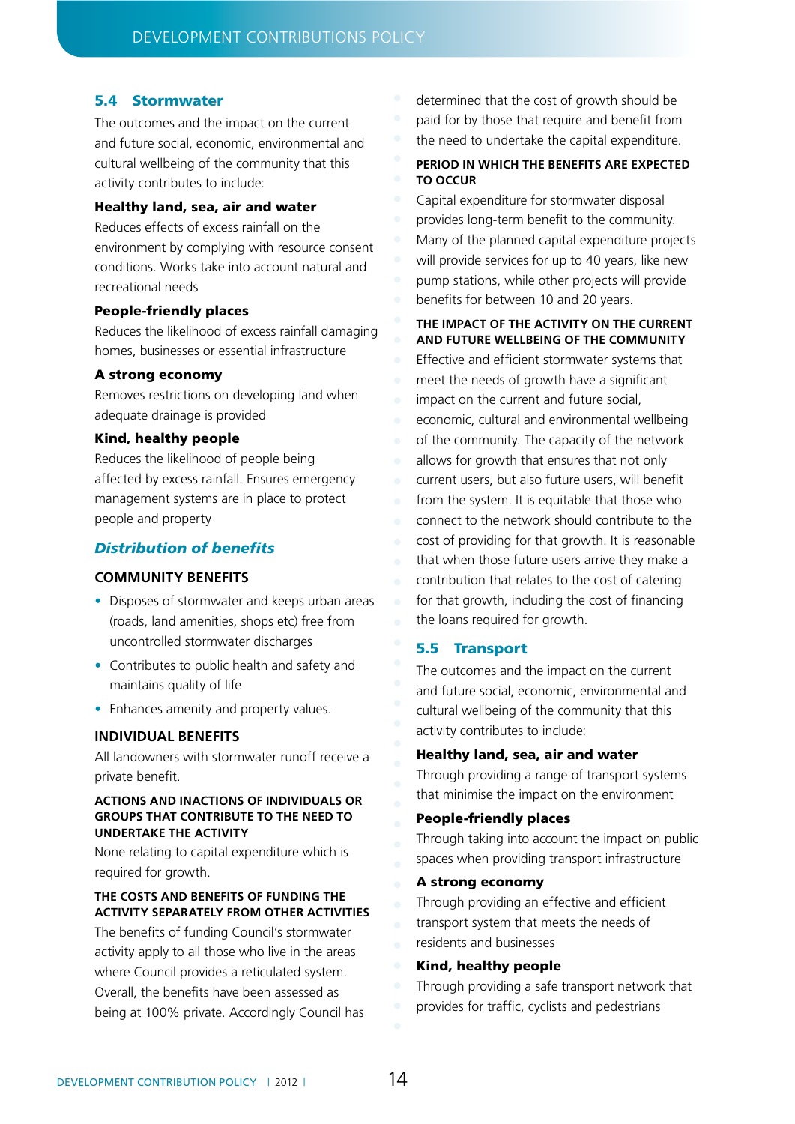### 5.4 Stormwater

The outcomes and the impact on the current and future social, economic, environmental and cultural wellbeing of the community that this activity contributes to include:

### Healthy land, sea, air and water

Reduces effects of excess rainfall on the environment by complying with resource consent conditions. Works take into account natural and recreational needs

### People-friendly places

Reduces the likelihood of excess rainfall damaging homes, businesses or essential infrastructure

### A strong economy

Removes restrictions on developing land when adequate drainage is provided

### Kind, healthy people

Reduces the likelihood of people being affected by excess rainfall. Ensures emergency management systems are in place to protect people and property

### *Distribution of benefits*

### **COMMUNITY BENEFITS**

- Disposes of stormwater and keeps urban areas (roads, land amenities, shops etc) free from uncontrolled stormwater discharges
- Contributes to public health and safety and maintains quality of life
- Enhances amenity and property values.

### **INDIVIDUAL BENEFITS**

All landowners with stormwater runoff receive a private benefit.

### **ACTIONS AND INACTIONS OF INDIVIDUALS OR GROUPS THAT CONTRIBUTE TO THE NEED TO UNDERTAKE THE ACTIVITY**

None relating to capital expenditure which is required for growth.

### **THE COSTS AND BENEFITS OF FUNDING THE ACTIVITY SEPARATELY FROM OTHER ACTIVITIES**

The benefits of funding Council's stormwater activity apply to all those who live in the areas where Council provides a reticulated system. Overall, the benefits have been assessed as being at 100% private. Accordingly Council has

- determined that the cost of growth should be
- paid for by those that require and benefit from
- the need to undertake the capital expenditure.

### **PERIOD IN WHICH THE BENEFITS ARE EXPECTED TO OCCUR**

Capital expenditure for stormwater disposal provides long-term benefit to the community. Many of the planned capital expenditure projects will provide services for up to 40 years, like new pump stations, while other projects will provide benefits for between 10 and 20 years.

### **THE IMPACT OF THE ACTIVITY ON THE CURRENT AND FUTURE WELLBEING OF THE COMMUNITY**

Effective and efficient stormwater systems that meet the needs of growth have a significant impact on the current and future social, economic, cultural and environmental wellbeing of the community. The capacity of the network allows for growth that ensures that not only current users, but also future users, will benefit from the system. It is equitable that those who connect to the network should contribute to the cost of providing for that growth. It is reasonable that when those future users arrive they make a contribution that relates to the cost of catering for that growth, including the cost of financing the loans required for growth.

### 5.5 Transport

The outcomes and the impact on the current and future social, economic, environmental and cultural wellbeing of the community that this activity contributes to include:

### Healthy land, sea, air and water

Through providing a range of transport systems that minimise the impact on the environment

### People-friendly places

Through taking into account the impact on public spaces when providing transport infrastructure

### A strong economy

Through providing an effective and efficient transport system that meets the needs of residents and businesses

### Kind, healthy people

Through providing a safe transport network that provides for traffic, cyclists and pedestrians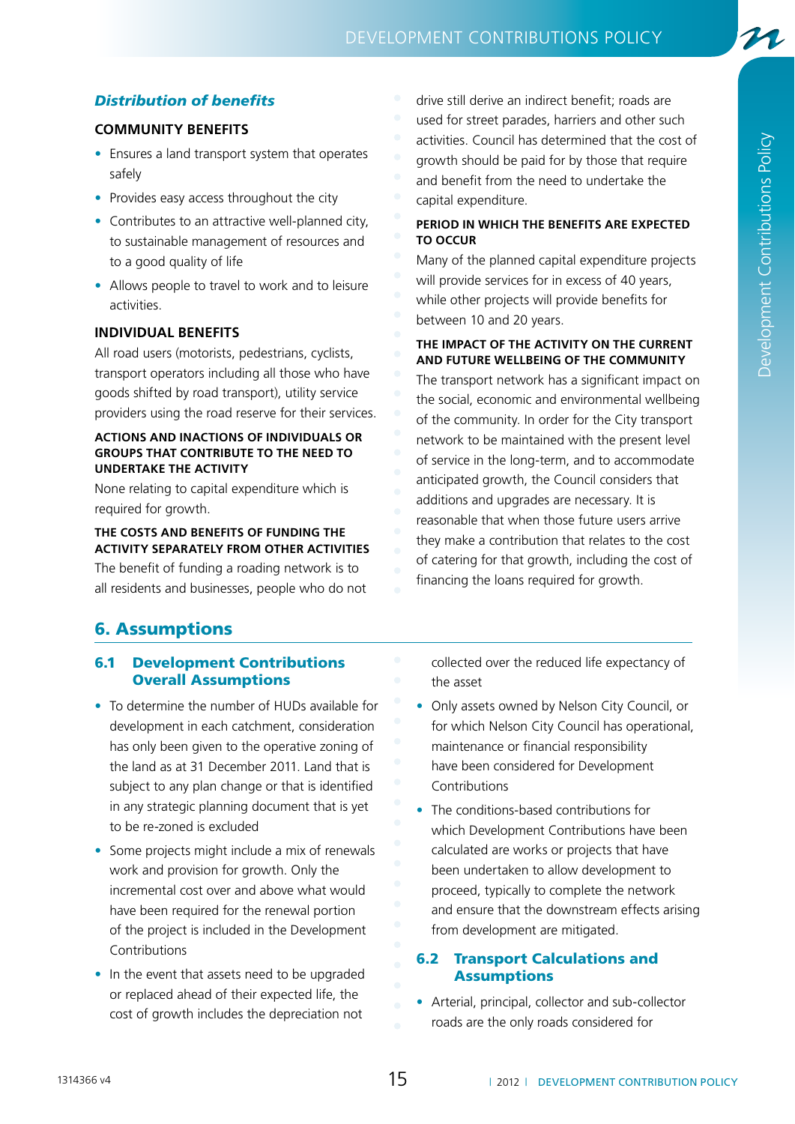### development contributions policy

### *Distribution of benefits*

### **COMMUNITY BENEFITS**

- Ensures a land transport system that operates safely
- Provides easy access throughout the city
- Contributes to an attractive well-planned city, to sustainable management of resources and to a good quality of life
- Allows people to travel to work and to leisure activities.

### **INDIVIDUAL BENEFITS**

All road users (motorists, pedestrians, cyclists, transport operators including all those who have goods shifted by road transport), utility service providers using the road reserve for their services.

### **ACTIONS AND INACTIONS OF INDIVIDUALS OR GROUPS THAT CONTRIBUTE TO THE NEED TO UNDERTAKE THE ACTIVITY**

None relating to capital expenditure which is required for growth.

### **THE COSTS AND BENEFITS OF FUNDING THE ACTIVITY SEPARATELY FROM OTHER ACTIVITIES**

The benefit of funding a roading network is to all residents and businesses, people who do not drive still derive an indirect benefit; roads are used for street parades, harriers and other such activities. Council has determined that the cost of growth should be paid for by those that require and benefit from the need to undertake the capital expenditure.

### **PERIOD IN WHICH THE BENEFITS ARE EXPECTED TO OCCUR**

Many of the planned capital expenditure projects will provide services for in excess of 40 years, while other projects will provide benefits for between 10 and 20 years.

### **THE IMPACT OF THE ACTIVITY ON THE CURRENT AND FUTURE WELLBEING OF THE COMMUNITY**

The transport network has a significant impact on the social, economic and environmental wellbeing of the community. In order for the City transport network to be maintained with the present level of service in the long-term, and to accommodate anticipated growth, the Council considers that additions and upgrades are necessary. It is reasonable that when those future users arrive they make a contribution that relates to the cost of catering for that growth, including the cost of financing the loans required for growth.

### 6. Assumptions

### 6.1 Development Contributions Overall Assumptions

- To determine the number of HUDs available for development in each catchment, consideration has only been given to the operative zoning of the land as at 31 December 2011. Land that is subject to any plan change or that is identified in any strategic planning document that is yet to be re-zoned is excluded
- Some projects might include a mix of renewals work and provision for growth. Only the incremental cost over and above what would have been required for the renewal portion of the project is included in the Development Contributions
- In the event that assets need to be upgraded or replaced ahead of their expected life, the cost of growth includes the depreciation not

collected over the reduced life expectancy of the asset

- Only assets owned by Nelson City Council, or for which Nelson City Council has operational, maintenance or financial responsibility have been considered for Development Contributions
- The conditions-based contributions for which Development Contributions have been calculated are works or projects that have been undertaken to allow development to proceed, typically to complete the network and ensure that the downstream effects arising from development are mitigated.

### 6.2 Transport Calculations and **Assumptions**

• Arterial, principal, collector and sub-collector roads are the only roads considered for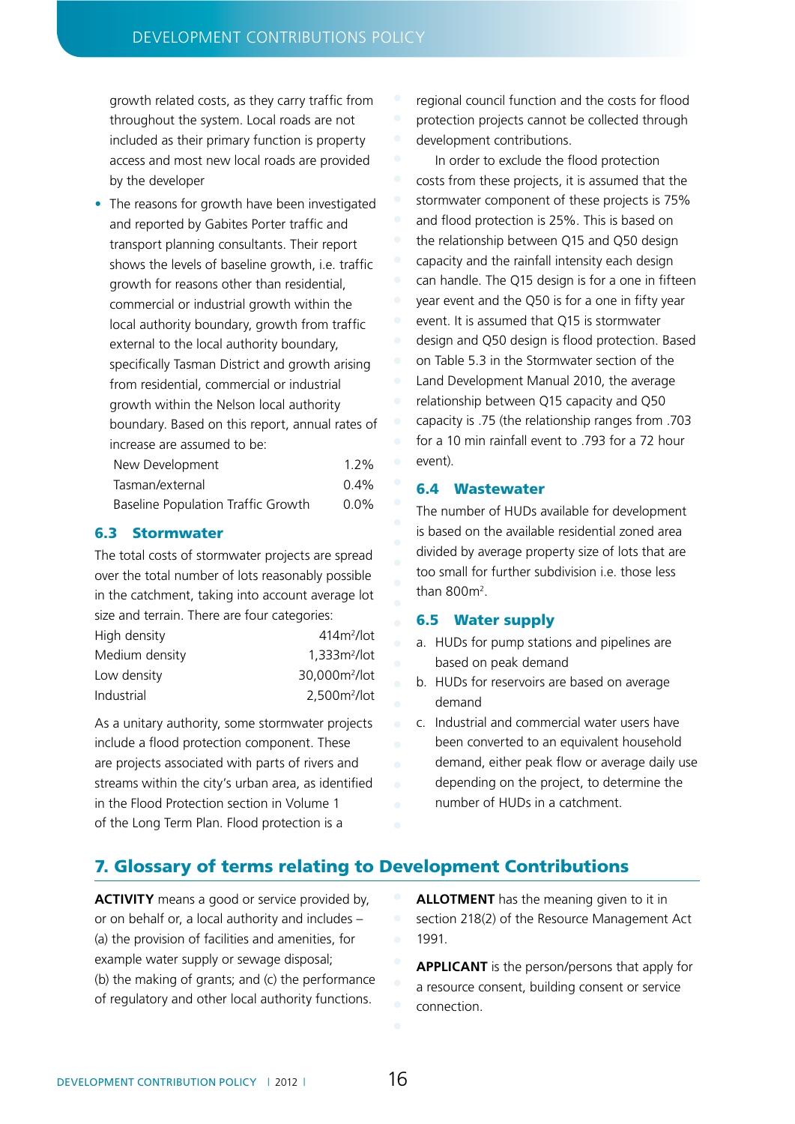growth related costs, as they carry traffic from throughout the system. Local roads are not included as their primary function is property access and most new local roads are provided by the developer

• The reasons for growth have been investigated and reported by Gabites Porter traffic and transport planning consultants. Their report shows the levels of baseline growth, i.e. traffic growth for reasons other than residential, commercial or industrial growth within the local authority boundary, growth from traffic external to the local authority boundary, specifically Tasman District and growth arising from residential, commercial or industrial growth within the Nelson local authority boundary. Based on this report, annual rates of increase are assumed to be:

| New Development                           | $1.2\%$ |
|-------------------------------------------|---------|
| Tasman/external                           | $0.4\%$ |
| <b>Baseline Population Traffic Growth</b> | $0.0\%$ |

### 6.3 Stormwater

The total costs of stormwater projects are spread over the total number of lots reasonably possible in the catchment, taking into account average lot size and terrain. There are four categories:

| High density   | $4142/$ lot               |
|----------------|---------------------------|
| Medium density | 1.333m <sup>2</sup> /lot  |
| Low density    | 30.000m <sup>2</sup> /lot |
| Industrial     | $2,500m^2$ /lot           |

As a unitary authority, some stormwater projects include a flood protection component. These are projects associated with parts of rivers and streams within the city's urban area, as identified in the Flood Protection section in Volume 1 of the Long Term Plan. Flood protection is a

regional council function and the costs for flood protection projects cannot be collected through development contributions.

In order to exclude the flood protection costs from these projects, it is assumed that the stormwater component of these projects is 75% and flood protection is 25%. This is based on the relationship between Q15 and Q50 design capacity and the rainfall intensity each design can handle. The Q15 design is for a one in fifteen year event and the Q50 is for a one in fifty year event. It is assumed that Q15 is stormwater design and Q50 design is flood protection. Based on Table 5.3 in the Stormwater section of the Land Development Manual 2010, the average relationship between Q15 capacity and Q50 capacity is .75 (the relationship ranges from .703 for a 10 min rainfall event to .793 for a 72 hour event).

### 6.4 Wastewater

The number of HUDs available for development is based on the available residential zoned area divided by average property size of lots that are too small for further subdivision i.e. those less than  $800m^2$ .

### 6.5 Water supply

- a. HUDs for pump stations and pipelines are based on peak demand
- b. HUDs for reservoirs are based on average demand
- c. Industrial and commercial water users have been converted to an equivalent household demand, either peak flow or average daily use depending on the project, to determine the number of HUDs in a catchment.

### 7. Glossary of terms relating to Development Contributions

**ACTIVITY** means a good or service provided by, or on behalf or, a local authority and includes – (a) the provision of facilities and amenities, for example water supply or sewage disposal; (b) the making of grants; and (c) the performance of regulatory and other local authority functions.

**ALLOTMENT** has the meaning given to it in section 218(2) of the Resource Management Act 1991.

**APPLICANT** is the person/persons that apply for a resource consent, building consent or service connection.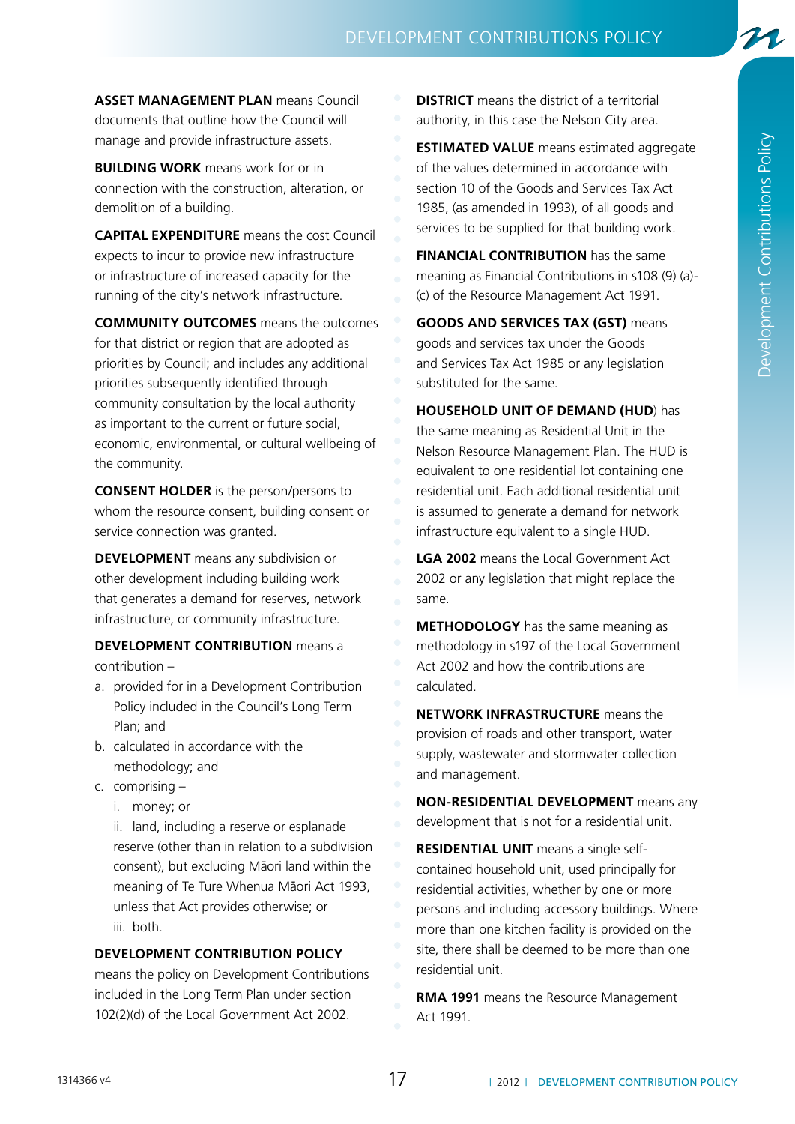**ASSET MANAGEMENT PLAN** means Council documents that outline how the Council will manage and provide infrastructure assets.

**BUILDING WORK** means work for or in connection with the construction, alteration, or demolition of a building.

**CAPITAL EXPENDITURE** means the cost Council expects to incur to provide new infrastructure or infrastructure of increased capacity for the running of the city's network infrastructure.

**COMMUNITY OUTCOMES** means the outcomes for that district or region that are adopted as priorities by Council; and includes any additional priorities subsequently identified through community consultation by the local authority as important to the current or future social, economic, environmental, or cultural wellbeing of the community.

**CONSENT HOLDER** is the person/persons to whom the resource consent, building consent or service connection was granted.

**DEVELOPMENT** means any subdivision or other development including building work that generates a demand for reserves, network infrastructure, or community infrastructure.

**DEVELOPMENT CONTRIBUTION** means a contribution –

- a. provided for in a Development Contribution Policy included in the Council's Long Term Plan; and
- b. calculated in accordance with the methodology; and
- c. comprising
	- i. money; or

ii. land, including a reserve or esplanade reserve (other than in relation to a subdivision consent), but excluding Māori land within the meaning of Te Ture Whenua Māori Act 1993, unless that Act provides otherwise; or iii. both.

### **DEVELOPMENT CONTRIBUTION POLICY**

means the policy on Development Contributions included in the Long Term Plan under section 102(2)(d) of the Local Government Act 2002.

**DISTRICT** means the district of a territorial authority, in this case the Nelson City area.

**ESTIMATED VALUE** means estimated aggregate of the values determined in accordance with section 10 of the Goods and Services Tax Act 1985, (as amended in 1993), of all goods and services to be supplied for that building work.

**FINANCIAL CONTRIBUTION** has the same meaning as Financial Contributions in s108 (9) (a)- (c) of the Resource Management Act 1991.

**GOODS AND SERVICES TAX (GST)** means goods and services tax under the Goods and Services Tax Act 1985 or any legislation substituted for the same.

**HOUSEHOLD UNIT OF DEMAND (HUD**) has the same meaning as Residential Unit in the Nelson Resource Management Plan. The HUD is equivalent to one residential lot containing one residential unit. Each additional residential unit is assumed to generate a demand for network infrastructure equivalent to a single HUD.

**LGA 2002** means the Local Government Act 2002 or any legislation that might replace the same.

**METHODOLOGY** has the same meaning as methodology in s197 of the Local Government Act 2002 and how the contributions are calculated.

**NETWORK INFRASTRUCTURE** means the provision of roads and other transport, water supply, wastewater and stormwater collection and management.

**NON-RESIDENTIAL DEVELOPMENT** means any development that is not for a residential unit.

**RESIDENTIAL UNIT** means a single selfcontained household unit, used principally for residential activities, whether by one or more persons and including accessory buildings. Where more than one kitchen facility is provided on the site, there shall be deemed to be more than one residential unit.

**RMA 1991** means the Resource Management Act 1991.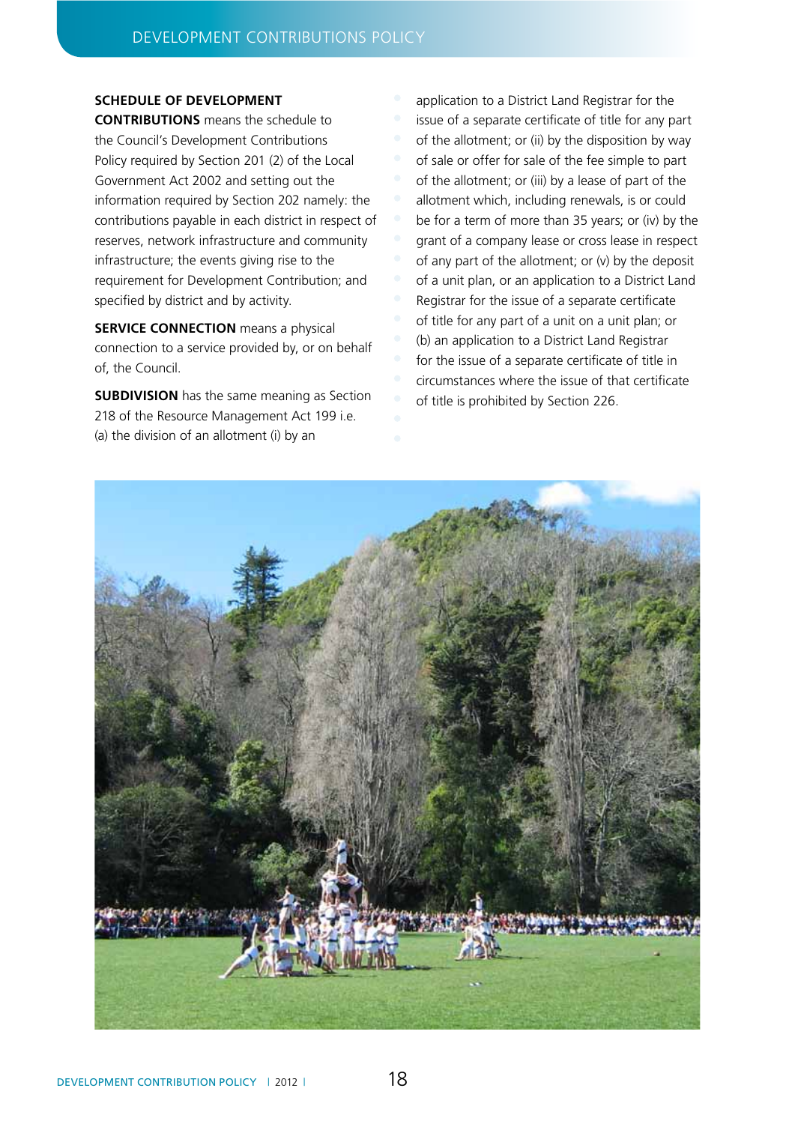### **SCHEDULE OF DEVELOPMENT**

**CONTRIBUTIONS** means the schedule to the Council's Development Contributions Policy required by Section 201 (2) of the Local Government Act 2002 and setting out the information required by Section 202 namely: the contributions payable in each district in respect of reserves, network infrastructure and community infrastructure; the events giving rise to the requirement for Development Contribution; and specified by district and by activity.

**SERVICE CONNECTION** means a physical connection to a service provided by, or on behalf of, the Council.

**SUBDIVISION** has the same meaning as Section 218 of the Resource Management Act 199 i.e. (a) the division of an allotment (i) by an

application to a District Land Registrar for the issue of a separate certificate of title for any part of the allotment; or (ii) by the disposition by way of sale or offer for sale of the fee simple to part of the allotment; or (iii) by a lease of part of the allotment which, including renewals, is or could be for a term of more than 35 years; or (iv) by the grant of a company lease or cross lease in respect of any part of the allotment; or (v) by the deposit of a unit plan, or an application to a District Land Registrar for the issue of a separate certificate of title for any part of a unit on a unit plan; or (b) an application to a District Land Registrar for the issue of a separate certificate of title in circumstances where the issue of that certificate of title is prohibited by Section 226.

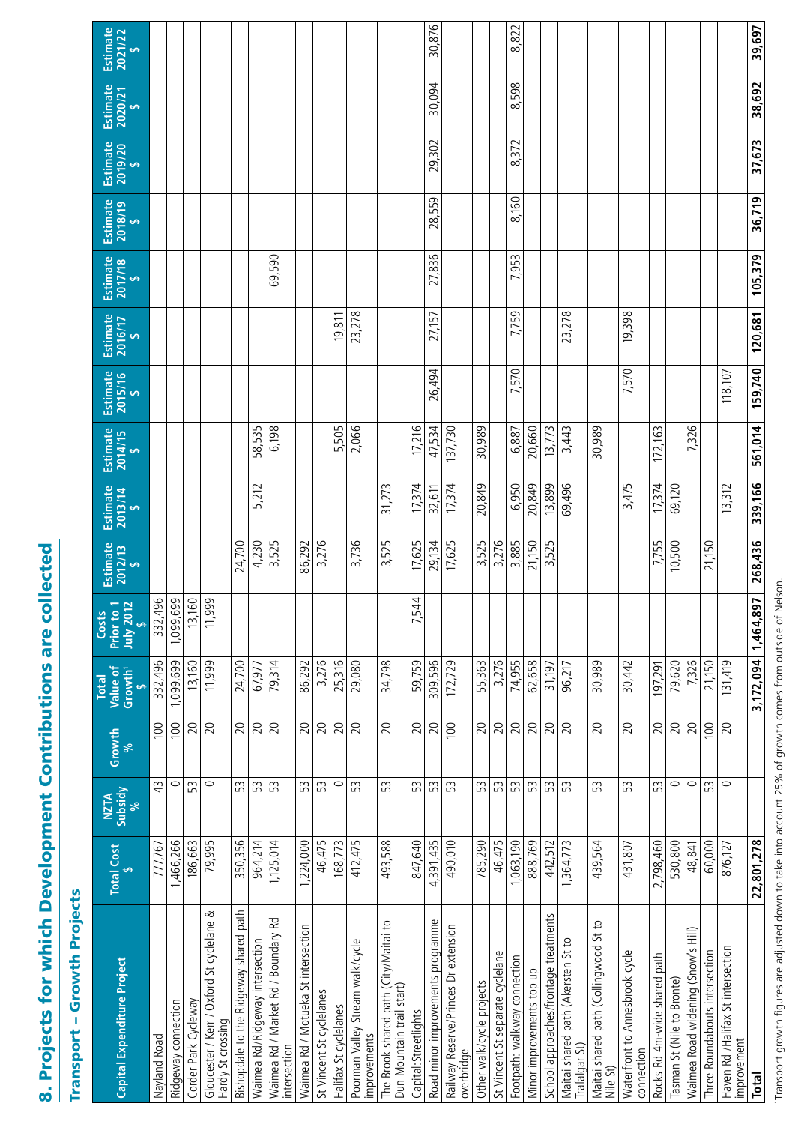# 8. Projects for which Development Contributions are collected 8. Projects for which Development Contributions are collected

# **Transport - Growth Projects** Transport – Growth Projects

| Estimate<br>2021/22<br>$\overline{a}$           |              |                     |                        |                                                                |                                        |                                 |                                                     |                                     |                          |                       |                                                  |                                                                    |                      | 30,876                            |                                                    |                           |                                  | 822<br>∞                     |                           |                                       |                                                     |                                                   |                                              |                              |                            |                                    |                                |                                                  | 39,697              |
|-------------------------------------------------|--------------|---------------------|------------------------|----------------------------------------------------------------|----------------------------------------|---------------------------------|-----------------------------------------------------|-------------------------------------|--------------------------|-----------------------|--------------------------------------------------|--------------------------------------------------------------------|----------------------|-----------------------------------|----------------------------------------------------|---------------------------|----------------------------------|------------------------------|---------------------------|---------------------------------------|-----------------------------------------------------|---------------------------------------------------|----------------------------------------------|------------------------------|----------------------------|------------------------------------|--------------------------------|--------------------------------------------------|---------------------|
|                                                 |              |                     |                        |                                                                |                                        |                                 |                                                     |                                     |                          |                       |                                                  |                                                                    |                      | 30,094                            |                                                    |                           |                                  | 598                          |                           |                                       |                                                     |                                                   |                                              |                              |                            |                                    |                                |                                                  | 38,692              |
| Estimate<br>2020/21<br><del>ی</del>             |              |                     |                        |                                                                |                                        |                                 |                                                     |                                     |                          |                       |                                                  |                                                                    |                      |                                   |                                                    |                           |                                  | ∞                            |                           |                                       |                                                     |                                                   |                                              |                              |                            |                                    |                                |                                                  |                     |
| Estimate<br>2019/20                             |              |                     |                        |                                                                |                                        |                                 |                                                     |                                     |                          |                       |                                                  |                                                                    |                      | 29,302                            |                                                    |                           |                                  | 372<br>∞                     |                           |                                       |                                                     |                                                   |                                              |                              |                            |                                    |                                |                                                  | 37,673              |
| Estimate<br>$2018/19$<br>$\frac{5}{9}$          |              |                     |                        |                                                                |                                        |                                 |                                                     |                                     |                          |                       |                                                  |                                                                    |                      | 28,559                            |                                                    |                           |                                  | 8,160                        |                           |                                       |                                                     |                                                   |                                              |                              |                            |                                    |                                |                                                  | 36,719              |
| $Estimate$<br>$2017/18$<br>$\frac{6}{5}$        |              |                     |                        |                                                                |                                        |                                 | 69,590                                              |                                     |                          |                       |                                                  |                                                                    |                      | 27,836                            |                                                    |                           |                                  | 7,953                        |                           |                                       |                                                     |                                                   |                                              |                              |                            |                                    |                                |                                                  | 105,379             |
| Estimate<br>$2016/17$<br>$\frac{5}{9}$          |              |                     |                        |                                                                |                                        |                                 |                                                     |                                     |                          | 19,811                | 23,278                                           |                                                                    |                      | 27,157                            |                                                    |                           |                                  | 7,759                        |                           |                                       | 23,278                                              |                                                   | 19,398                                       |                              |                            |                                    |                                |                                                  | 120,681             |
| Estimate<br>2015/16                             |              |                     |                        |                                                                |                                        |                                 |                                                     |                                     |                          |                       |                                                  |                                                                    |                      | 26,494                            |                                                    |                           |                                  | 7,570                        |                           |                                       |                                                     |                                                   | 7,570                                        |                              |                            |                                    |                                | 118,107                                          | 159,740             |
| Estimate<br>2014/15                             |              |                     |                        |                                                                |                                        | 58,535                          | 6,198                                               |                                     |                          | 5,505                 | 2,066                                            |                                                                    | 17,216               | 47,534                            | 137,730                                            | 30,989                    |                                  | 6,887                        | 20,660                    | 13,773                                | 3,443                                               | 30,989                                            |                                              | 172,163                      |                            | 7,326                              |                                |                                                  | 561,014             |
| Estimate<br>2013/14                             |              |                     |                        |                                                                |                                        | 5,212                           |                                                     |                                     |                          |                       |                                                  | 31,273                                                             | 17,374               | 32,611                            | 17,374                                             | 20,849                    |                                  | 6,950                        | 20,849                    | 13,899                                | 69,496                                              |                                                   | 3,475                                        | 17,374                       | 69,120                     |                                    |                                | 13,312                                           | 339,166             |
| Estimate<br>2012/13                             |              |                     |                        |                                                                | 24,700                                 | 4,230                           | 3,525                                               | 86,292                              | 3,276                    |                       | 3,736                                            | 3,525                                                              | 17,625               | 29,134                            | 17,625                                             | 3,525                     | 3,276                            | 3,885                        | 21,150                    | 3,525                                 |                                                     |                                                   |                                              | 7,755                        | 10,500                     |                                    | 21,150                         |                                                  | 268,436             |
| Prior to 1<br>July 2012<br>Costs<br>ú           | 332,496      | 1,099,699           | 160<br>$\overline{13}$ | 11,999                                                         |                                        |                                 |                                                     |                                     |                          |                       |                                                  |                                                                    | 544<br>ド             |                                   |                                                    |                           |                                  |                              |                           |                                       |                                                     |                                                   |                                              |                              |                            |                                    |                                |                                                  |                     |
| Value of<br>Growth <sup>1</sup><br><b>Total</b> | 332,496      | 1,099,699           | 13,160                 | 11,999                                                         | 24,700                                 | 67,977                          | 79,314                                              | 86,292                              | 3,276                    | 25,316                | 29,080                                           | 34,798                                                             | 59,759               | 309,596                           | 172,729                                            | 55,363                    | 3,276                            | 74,955                       | 62,658                    | 31,197                                | 96,217                                              | 30,989                                            | 30,442                                       | 197,291                      | 79,620                     | 7,326                              | 21,150                         | 131,419                                          | 3,172,094 1,464,897 |
| Growth<br>%                                     | 100          | 100                 | 20                     | 20                                                             | 20                                     | 20                              | 20                                                  | 20                                  | 20                       | 20                    | 20                                               | 20                                                                 | 20                   | 20                                | 100                                                | 20                        | 20                               | 20                           | 20                        | 20                                    | 20                                                  | 20                                                | 20                                           | 20                           | 20                         | 20                                 | 100                            | 20                                               |                     |
| NZTA<br>Subsidy<br>%                            | $\ddot{4}$   | $\circ$             | 53                     | $\circ$                                                        | 53                                     | SS                              | 53                                                  | 53                                  | 53                       | $\circ$               | 53                                               | 53                                                                 | 53                   | 53                                | 53                                                 | 53                        | 53                               | 53                           | 53                        | 53                                    | 53                                                  | 53                                                | 53                                           | 53                           | 0                          | $\circ$                            | 53                             | $\circ$                                          |                     |
| Total Cost                                      | 777,767      | 1,466,266           | 186,663                | 79,995                                                         | 350,356                                | 964,214                         | 1,125,014                                           | 1,224,000                           | 46,475                   | 168,773               | 412,475                                          | 493,588                                                            | 847,640              | 4,391,435                         | 490,010                                            | 785,290                   | 46,475                           | 1,063,190                    | 888,769                   | 442,512                               | 1,364,773                                           | 439,564                                           | 431,807                                      | 2,798,460                    | 530,800                    | 48,841                             | 60,000                         | 876,127                                          | 22,801,278          |
| Capital Expenditure Project                     | Nayland Road | Ridgeway connection | Corder Park Cycleway   | Gloucester / Kerr / Oxford St cyclelane &<br>Hardy St crossing | Bishopdale to the Ridgeway shared path | Waimea Rd/Ridgeway intersection | Waimea Rd / Market Rd / Boundary Rd<br>intersection | Waimea Rd / Motueka St intersection | St Vincent St cyclelanes | Halifax St cyclelanes | Poorman Valley Stream walk/cycle<br>improvements | The Brook shared path (City/Maitai to<br>Dun Mountain trail start) | Capital:Streetlights | Road minor improvements programme | Railway Reserve/Princes Dr extension<br>overbridge | Other walk/cycle projects | St Vincent St separate cyclelane | Footpath: walkway connection | Minor improvements top up | School approaches/frontage treatments | Maitai shared path (Akersten St to<br>Trafalgar St) | Maitai shared path (Collingwood St to<br>Nile St) | Waterfront to Annesbrook cycle<br>connection | Rocks Rd 4m-wide shared path | Tasman St (Nile to Bronte) | Waimea Road widening (Snow's Hill) | Three Roundabouts intersection | Haven Rd /Halifax St intersection<br>improvement | <b>Total</b>        |

Transport growth figures are adjusted down to take into account 25% of growth comes from outside of Nelson. 1Transport growth figures are adjusted down to take into account 25% of growth comes from outside of Nelson.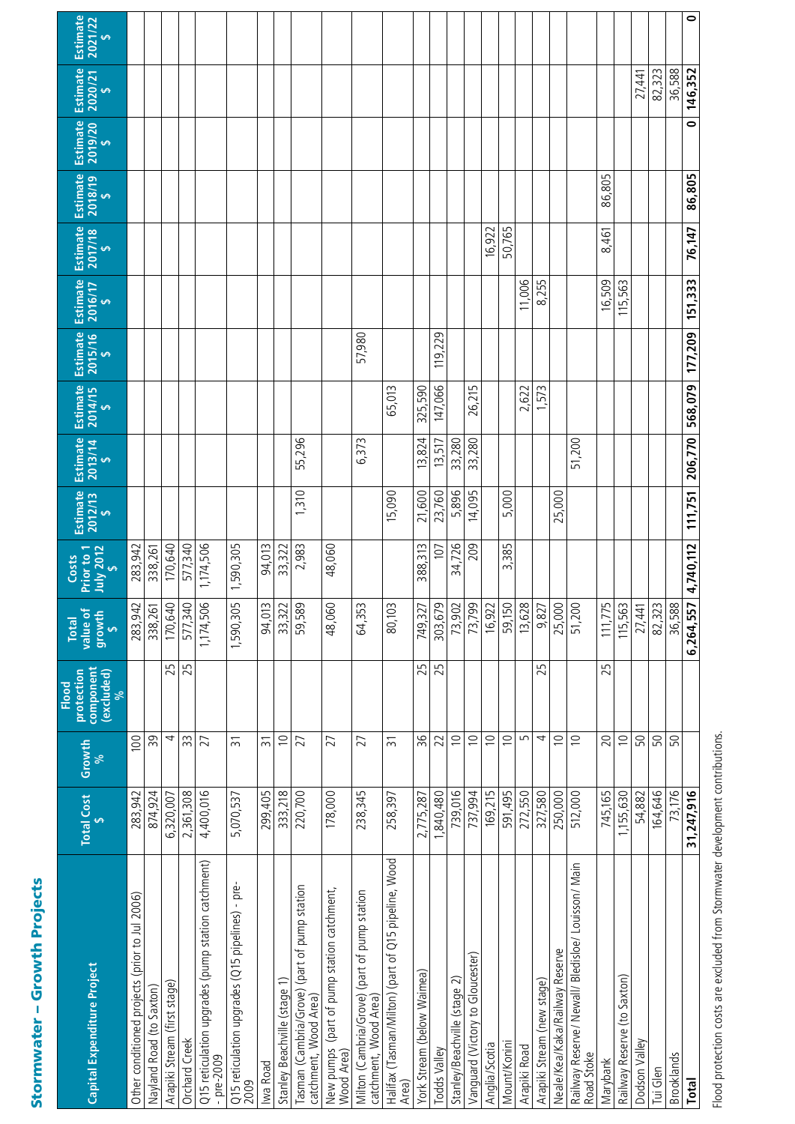| ì                                                                                                              |
|----------------------------------------------------------------------------------------------------------------|
|                                                                                                                |
|                                                                                                                |
|                                                                                                                |
|                                                                                                                |
|                                                                                                                |
|                                                                                                                |
|                                                                                                                |
|                                                                                                                |
|                                                                                                                |
|                                                                                                                |
| and the state of the state of the state of the state of the state of the state of the state of the state of th |
|                                                                                                                |
|                                                                                                                |
|                                                                                                                |
|                                                                                                                |
|                                                                                                                |
|                                                                                                                |
|                                                                                                                |
|                                                                                                                |
|                                                                                                                |
|                                                                                                                |
|                                                                                                                |
|                                                                                                                |
|                                                                                                                |
| I                                                                                                              |
|                                                                                                                |
|                                                                                                                |
|                                                                                                                |
|                                                                                                                |
|                                                                                                                |
|                                                                                                                |
|                                                                                                                |
|                                                                                                                |
|                                                                                                                |
|                                                                                                                |
|                                                                                                                |
|                                                                                                                |
|                                                                                                                |
|                                                                                                                |
|                                                                                                                |
|                                                                                                                |
|                                                                                                                |
|                                                                                                                |
| ı                                                                                                              |
|                                                                                                                |
| ֚֬                                                                                                             |

| Capital Expenditure Project                                           | Total Cost<br>\$ | Growth<br>%    | component<br>protection<br>(excluded)<br>Flood<br>್ದೇ | value of<br>growth<br><b>Total</b><br>$\leftrightarrow$ | July 2012<br>Prior to 1<br>Costs | Estimate<br>2012/13<br>$\Theta$ | Estimate<br>2013/14<br>$\Theta$ | <b>Estimate</b><br><b>2014/15</b><br>$\Theta$ | <b>Estimate</b><br>2015/16<br>$\Theta$ | Estimate<br>2016/17<br><b>SA</b> | Estimate<br>2017/18<br>$\leftrightarrow$ | <b>Estimate</b><br>$2018/19$<br>$5$ | Estimate<br>2019/20<br>$\Theta$ | <b>Estimate</b><br>2020/21<br>$\leftrightarrow$ | Estimate<br>2021/22<br>$\Theta$ |
|-----------------------------------------------------------------------|------------------|----------------|-------------------------------------------------------|---------------------------------------------------------|----------------------------------|---------------------------------|---------------------------------|-----------------------------------------------|----------------------------------------|----------------------------------|------------------------------------------|-------------------------------------|---------------------------------|-------------------------------------------------|---------------------------------|
| Other conditioned projects (prior to Jul 2006)                        | 283,942          | 100            |                                                       | 283,942                                                 | 283,942                          |                                 |                                 |                                               |                                        |                                  |                                          |                                     |                                 |                                                 |                                 |
| Nayland Road (to Saxton)                                              | 874.924          | 39             |                                                       | 338,26                                                  | 338,261                          |                                 |                                 |                                               |                                        |                                  |                                          |                                     |                                 |                                                 |                                 |
| Arapiki Stream (first stage)                                          | 6,320,007        | 4              | 25                                                    | 170,640                                                 | 170,640                          |                                 |                                 |                                               |                                        |                                  |                                          |                                     |                                 |                                                 |                                 |
| Orchard Creek                                                         | 2,361,308        | 33             | 25                                                    | 577,340                                                 | 577,340                          |                                 |                                 |                                               |                                        |                                  |                                          |                                     |                                 |                                                 |                                 |
| Q15 reticulation upgrades (pump station catchment)<br>$-$ pre-2009    | 4,400,016        | 27             |                                                       | 1,174,506                                               | 1,174,506                        |                                 |                                 |                                               |                                        |                                  |                                          |                                     |                                 |                                                 |                                 |
| -pre-<br>Q15 reticulation upgrades (Q15 pipelines)<br>2009            | 5,070,537        | $\overline{5}$ |                                                       | 1,590,305                                               | 1,590,305                        |                                 |                                 |                                               |                                        |                                  |                                          |                                     |                                 |                                                 |                                 |
| Iwa Road                                                              | 299,405          | $\overline{3}$ |                                                       | 94,013                                                  | 94,013                           |                                 |                                 |                                               |                                        |                                  |                                          |                                     |                                 |                                                 |                                 |
| Stanley Beachville (stage 1)                                          | 333,218          | $\supseteq$    |                                                       | 33,322                                                  | 33,322                           |                                 |                                 |                                               |                                        |                                  |                                          |                                     |                                 |                                                 |                                 |
| Tasman (Cambria/Grove) (part of pump station<br>catchment, Wood Area) | 220,700          | 27             |                                                       | 59,589                                                  | 2,983                            | 1,310                           | 55,296                          |                                               |                                        |                                  |                                          |                                     |                                 |                                                 |                                 |
| New pumps (part of pump station catchment,<br>Wood Area)              | 178,000          | 27             |                                                       | 48,060                                                  | 48,060                           |                                 |                                 |                                               |                                        |                                  |                                          |                                     |                                 |                                                 |                                 |
| Milton (Cambria/Grove) (part of pump station<br>catchment, Wood Area. | 238,345          | 27             |                                                       | $\sim$<br>64,353                                        |                                  |                                 | 6,373                           |                                               | 57,980                                 |                                  |                                          |                                     |                                 |                                                 |                                 |
| Halifax (Tasman/Milton) (part of Q15 pipeline, Wood<br>Area)          | 258,397          | $\overline{3}$ |                                                       | 80,103                                                  |                                  | 15,090                          |                                 | 65,013                                        |                                        |                                  |                                          |                                     |                                 |                                                 |                                 |
| York Stream (below Waimea)                                            | 2,775,287        | 36             | 25                                                    | 749,327                                                 | 388,313                          | 21,600                          | 13,824                          | 325,590                                       |                                        |                                  |                                          |                                     |                                 |                                                 |                                 |
| Todds Valley                                                          | 1,840,480        | 22             | 25                                                    | 303,679                                                 | 107                              | 23,760                          | 13,517                          | 147,066                                       | 119,229                                |                                  |                                          |                                     |                                 |                                                 |                                 |
| Stanley/Beachville (stage 2)                                          | 739,016          | $\supseteq$    |                                                       | 73,902                                                  | 34,726                           | 5,896                           | 33,280                          |                                               |                                        |                                  |                                          |                                     |                                 |                                                 |                                 |
| Vanguard (Victory to Gloucester)                                      | 737,994          | $\supseteq$    |                                                       | 73,799                                                  | 209                              | 14,095                          | 33,280                          | 26,215                                        |                                        |                                  |                                          |                                     |                                 |                                                 |                                 |
| Anglia/Scotia                                                         | 169,215          | $\supseteq$    |                                                       | 16,922                                                  |                                  |                                 |                                 |                                               |                                        |                                  | 16,922                                   |                                     |                                 |                                                 |                                 |
| Mount/Konini                                                          | 591,495          | $\supseteq$    |                                                       | 59,150                                                  | 3,385                            | 5,000                           |                                 |                                               |                                        |                                  | 50,765                                   |                                     |                                 |                                                 |                                 |
| Arapiki Road                                                          | 272,550          | 5              |                                                       | 13,628                                                  |                                  |                                 |                                 | 2,622                                         |                                        | 11,006                           |                                          |                                     |                                 |                                                 |                                 |
| Arapiki Stream (new stage)                                            | 327,580          | 4              | 25                                                    | 9,827                                                   |                                  |                                 |                                 | 1,573                                         |                                        | 8,255                            |                                          |                                     |                                 |                                                 |                                 |
| Neale/Kea/Kaka/Railway Reserve                                        | 250,000          | $\supseteq$    |                                                       | 25,000                                                  |                                  | 25,000                          |                                 |                                               |                                        |                                  |                                          |                                     |                                 |                                                 |                                 |
| Railway Reserve/ Newall/ Bledisloe/ Louisson/ Main<br>Road Stoke      | 512,000          | $\supseteq$    |                                                       | 51,200                                                  |                                  |                                 | 51,200                          |                                               |                                        |                                  |                                          |                                     |                                 |                                                 |                                 |
| Marybank                                                              | 745,165          | 20             | 25                                                    | 111,775                                                 |                                  |                                 |                                 |                                               |                                        | 16,509                           | 8,461                                    | 86,805                              |                                 |                                                 |                                 |
| Railway Reserve (to Saxton)                                           | 1,155,630        | $\supseteq$    |                                                       | 115,563                                                 |                                  |                                 |                                 |                                               |                                        | 115,563                          |                                          |                                     |                                 |                                                 |                                 |
| Dodson Valley                                                         | 54,882           | 50             |                                                       | 27,441                                                  |                                  |                                 |                                 |                                               |                                        |                                  |                                          |                                     |                                 | 27,441                                          |                                 |
| Tui Glen                                                              | 164,646          | 50             |                                                       | 82,323                                                  |                                  |                                 |                                 |                                               |                                        |                                  |                                          |                                     |                                 | 82,323                                          |                                 |
| <b>Brooklands</b>                                                     | 73,176           | 50             |                                                       | 36,588                                                  |                                  |                                 |                                 |                                               |                                        |                                  |                                          |                                     |                                 | 36,588                                          |                                 |
| <b>Total</b>                                                          | 31,247,916       |                |                                                       | 6,264,557                                               | 4,740,112                        |                                 | 111,751 206,770                 | 568,079                                       | 177,209                                | 151,333                          | 76,147                                   | 86,805                              | $\overline{\bullet}$            | 146,352                                         | $\bullet$                       |

Flood protection costs are excluded from Stormwater development contributions. Flood protection costs are excluded from Stormwater development contributions.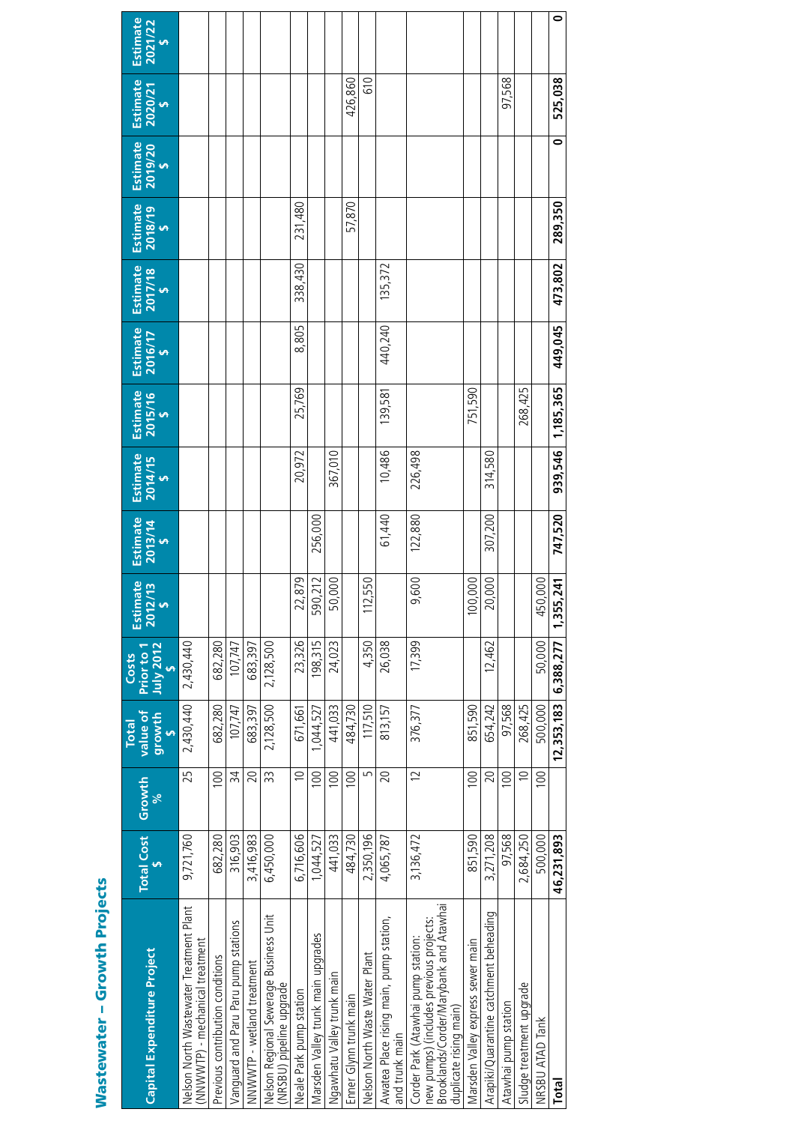| Į<br>l<br>ĵ<br>֦֦֧֦֧֦֧֦֦֧֦֧֦֧ׅ֧֖֧֦֧ׅ֦֧֧֧֧֧֧֧֪֪֪֪֪֪֪֪֪֪֪֪֪֪֪֪֪֪֪֪֪֪֪֪֚֚֚֚֚֚֚֚֚֚֡֝֝֬֝֜֝֬֝֜֝֬֝֬֞֝֬֞֝֬֝֬<br>֚֚֚֬ |
|--------------------------------------------------------------------------------------------------------------|
|                                                                                                              |
|                                                                                                              |
| l<br>i                                                                                                       |

| Capital Expenditure Project                                                                                 | <b>Total Cost</b> | Growth<br>ಸಿ   | value of<br>growth<br><b>Total</b> | July 2012<br>Prior to 1<br>Costs | Estimate<br>$2012/13$<br>$\frac{2}{5}$ | Estimate<br>$2013/14$<br>$\frac{2}{5}$ | Estimate<br>$2014/15$<br>$\frac{2}{5}$ | Estimate<br>$2015/16$<br>$\frac{2}{5}$ | Estimate<br>2016/17<br>\$ | Estimate<br>$\frac{2017}{18}$ | Estimate<br>$2018/19$<br>$\frac{2}{5}$ | Estimate<br>2019/20<br>\$ | $Estimate\n2020/21\n5$ | Estimate<br>$2021/22$<br>$\frac{2}{5}$ |
|-------------------------------------------------------------------------------------------------------------|-------------------|----------------|------------------------------------|----------------------------------|----------------------------------------|----------------------------------------|----------------------------------------|----------------------------------------|---------------------------|-------------------------------|----------------------------------------|---------------------------|------------------------|----------------------------------------|
| Nelson North Wastewater Treatment Plant                                                                     | 9,721,760         | 25             | 2,430,440                          | 2,430,440                        |                                        |                                        |                                        |                                        |                           |                               |                                        |                           |                        |                                        |
| NNWVTP) - mechanical treatment                                                                              |                   |                |                                    |                                  |                                        |                                        |                                        |                                        |                           |                               |                                        |                           |                        |                                        |
| Previous contribution conditions                                                                            | 682,280           | 100            | 682,280                            | 682,280                          |                                        |                                        |                                        |                                        |                           |                               |                                        |                           |                        |                                        |
| Vanquard and Paru Paru pump stations                                                                        | 316,903           | 34             | 107.747                            | 107,747                          |                                        |                                        |                                        |                                        |                           |                               |                                        |                           |                        |                                        |
| NNWWTP - wetland treatment                                                                                  | 3,416,983         | 20             | 683,397                            | 683,397                          |                                        |                                        |                                        |                                        |                           |                               |                                        |                           |                        |                                        |
| Nelson Regional Sewerage Business Unit<br>NRSBU) pipeline upgrade                                           | 6,450,000         | 33             | 2,128,500                          | 2,128,500                        |                                        |                                        |                                        |                                        |                           |                               |                                        |                           |                        |                                        |
| Neale Park pump station                                                                                     | 6,716,606         | $\cong$        | 671,661                            | 23,326                           | 22,879                                 |                                        | 20,972                                 | 25,769                                 | 8,805                     | 338,430                       | 231,480                                |                           |                        |                                        |
| Marsden Valley trunk main upgrades                                                                          | 1,044,527         | 100            | 1,044,527                          | 198,315                          | 590,212                                | 256,000                                |                                        |                                        |                           |                               |                                        |                           |                        |                                        |
| Ngawhatu Valley trunk main                                                                                  | 441,033           | 100            | 441.033                            | 24,023                           | 50,000                                 |                                        | 367,010                                |                                        |                           |                               |                                        |                           |                        |                                        |
| Enner Glynn trunk main                                                                                      | 484.730           | 100            | 484,730                            |                                  |                                        |                                        |                                        |                                        |                           |                               | 57,870                                 |                           | 426,860                |                                        |
| Nelson North Waste Water Plant                                                                              | 2,350,196         | Б              | 117,510                            | 4,350                            | 112,550                                |                                        |                                        |                                        |                           |                               |                                        |                           | <b>G10</b>             |                                        |
| Awatea Place rising main, pump station,<br>and trunk main                                                   | 4,065,787         | 20             | 813,157                            | 26,038                           |                                        | 61,440                                 | 10,486                                 | 139,581                                | 440,240                   | 135,372                       |                                        |                           |                        |                                        |
| Corder Park (Atawhai pump station                                                                           | 3,136,472         | $\overline{C}$ | 376,377                            | 17,399                           | 9,600                                  | 122,880                                | 226,498                                |                                        |                           |                               |                                        |                           |                        |                                        |
| Brooklands/Corder/Marybank and Atawhai<br>new pumps) (includes previous projects:<br>duplicate rising main) |                   |                |                                    |                                  |                                        |                                        |                                        |                                        |                           |                               |                                        |                           |                        |                                        |
| Marsden Valley express sewer main                                                                           | 851,590           | 100            | 851,590                            |                                  | 100,000                                |                                        |                                        | 751,590                                |                           |                               |                                        |                           |                        |                                        |
| Arapiki/Quarantine catchment beheading                                                                      | 3,271,208         | 20             | 654.242                            | 12,462                           | 20,000                                 | 307,200                                | 314,580                                |                                        |                           |                               |                                        |                           |                        |                                        |
| Atawhai pump station                                                                                        | 97.568            | 100            | 97.568                             |                                  |                                        |                                        |                                        |                                        |                           |                               |                                        |                           | 97,568                 |                                        |
| Sludge treatment upgrade                                                                                    | 2,684,250         | $\cong$        | 268.425                            |                                  |                                        |                                        |                                        | 268,425                                |                           |                               |                                        |                           |                        |                                        |
| NRSBU ATAD Tank                                                                                             | 500.000           | 100            | 500,000                            | 50.000                           | 450,000                                |                                        |                                        |                                        |                           |                               |                                        |                           |                        |                                        |
| Total                                                                                                       | 46,231,893        |                | 12,353,183                         | 6,388,277                        | 1,355,241                              | 747,520                                | 939,546                                | 1,185,365                              | 449,045                   | 473,802                       | 289,350                                | 0                         | 525,038                | $\bullet$                              |